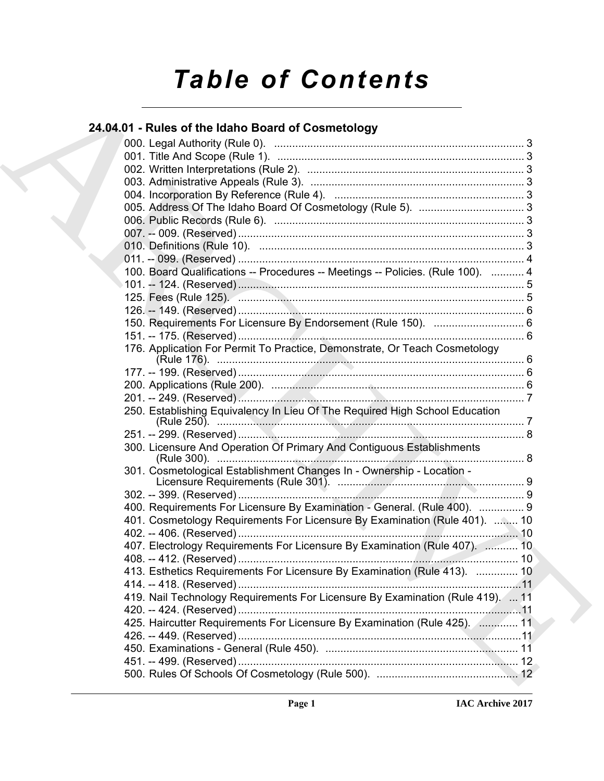# *Table of Contents*

# **24.04.01 - Rules of the Idaho Board of Cosmetology**

| 24.04.01 - Rules of the Idaho Board of Cosmetology                                |  |
|-----------------------------------------------------------------------------------|--|
|                                                                                   |  |
|                                                                                   |  |
|                                                                                   |  |
|                                                                                   |  |
|                                                                                   |  |
|                                                                                   |  |
|                                                                                   |  |
|                                                                                   |  |
|                                                                                   |  |
|                                                                                   |  |
| 100. Board Qualifications -- Procedures -- Meetings -- Policies. (Rule 100).  4   |  |
|                                                                                   |  |
|                                                                                   |  |
|                                                                                   |  |
| 150. Requirements For Licensure By Endorsement (Rule 150).  6                     |  |
|                                                                                   |  |
| 176. Application For Permit To Practice, Demonstrate, Or Teach Cosmetology        |  |
|                                                                                   |  |
|                                                                                   |  |
|                                                                                   |  |
| 250. Establishing Equivalency In Lieu Of The Required High School Education       |  |
|                                                                                   |  |
| 300. Licensure And Operation Of Primary And Contiguous Establishments             |  |
| 301. Cosmetological Establishment Changes In - Ownership - Location -             |  |
|                                                                                   |  |
| 400. Requirements For Licensure By Examination - General. (Rule 400).  9          |  |
| 401. Cosmetology Requirements For Licensure By Examination (Rule 401).  10        |  |
|                                                                                   |  |
| 407. Electrology Requirements For Licensure By Examination (Rule 407).  10        |  |
|                                                                                   |  |
| 413. Esthetics Requirements For Licensure By Examination (Rule 413).  10          |  |
|                                                                                   |  |
| 419. Nail Technology Requirements For Licensure By Examination (Rule 419).  11    |  |
|                                                                                   |  |
| 425. Haircutter Requirements For Licensure By Examination (Rule 425). [11, 11, 11 |  |
|                                                                                   |  |
|                                                                                   |  |
|                                                                                   |  |
|                                                                                   |  |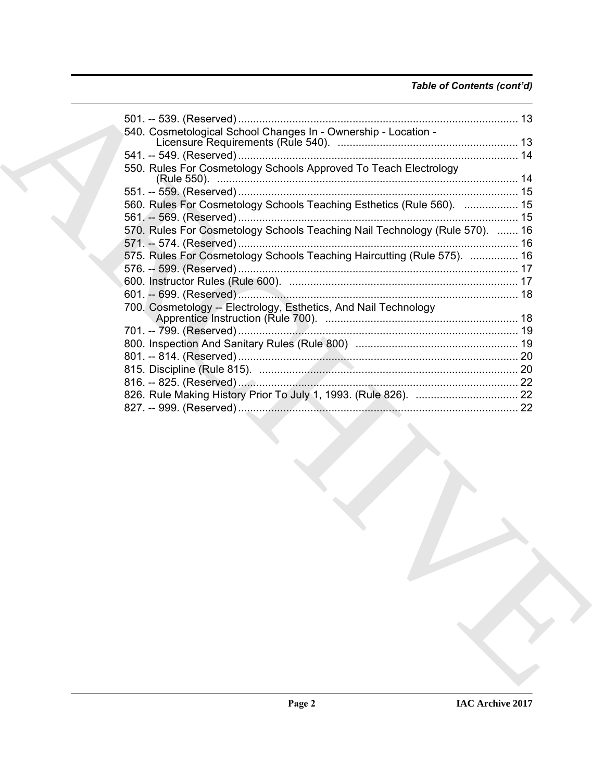# *Table of Contents (cont'd)*

| 540. Cosmetological School Changes In - Ownership - Location -              |  |
|-----------------------------------------------------------------------------|--|
|                                                                             |  |
|                                                                             |  |
| 550. Rules For Cosmetology Schools Approved To Teach Electrology            |  |
|                                                                             |  |
| 560. Rules For Cosmetology Schools Teaching Esthetics (Rule 560).  15       |  |
|                                                                             |  |
| 570. Rules For Cosmetology Schools Teaching Nail Technology (Rule 570).  16 |  |
|                                                                             |  |
| 575. Rules For Cosmetology Schools Teaching Haircutting (Rule 575).  16     |  |
|                                                                             |  |
|                                                                             |  |
|                                                                             |  |
| 700. Cosmetology -- Electrology, Esthetics, And Nail Technology             |  |
|                                                                             |  |
|                                                                             |  |
|                                                                             |  |
|                                                                             |  |
|                                                                             |  |
|                                                                             |  |
|                                                                             |  |
|                                                                             |  |
|                                                                             |  |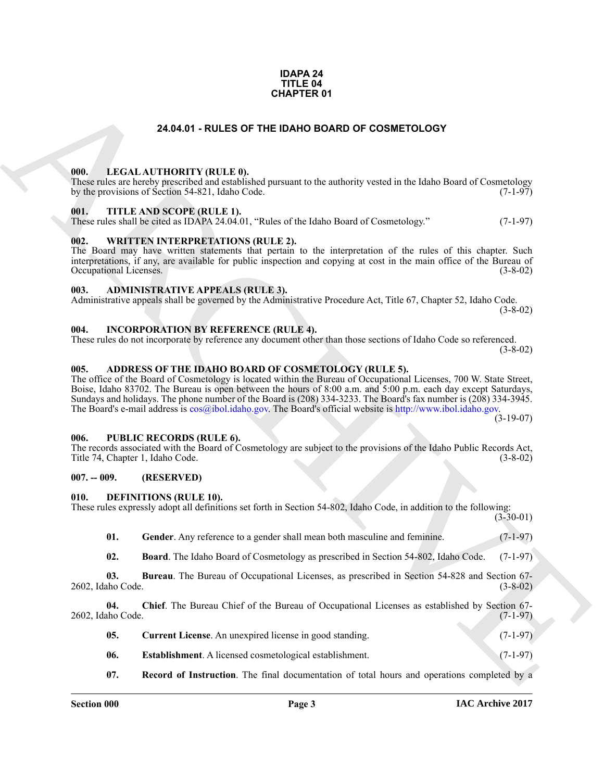## **IDAPA 24 TITLE 04 CHAPTER 01**

# **24.04.01 - RULES OF THE IDAHO BOARD OF COSMETOLOGY**

# <span id="page-2-1"></span><span id="page-2-0"></span>**000. LEGAL AUTHORITY (RULE 0).**

These rules are hereby prescribed and established pursuant to the authority vested in the Idaho Board of Cosmetology by the provisions of Section 54-821, Idaho Code. (7-1-97)

# <span id="page-2-2"></span>**001. TITLE AND SCOPE (RULE 1).**

These rules shall be cited as IDAPA 24.04.01, "Rules of the Idaho Board of Cosmetology." (7-1-97)

# <span id="page-2-3"></span>**002. WRITTEN INTERPRETATIONS (RULE 2).**

The Board may have written statements that pertain to the interpretation of the rules of this chapter. Such interpretations, if any, are available for public inspection and copying at cost in the main office of the Bureau of Occupational Licenses.

# <span id="page-2-4"></span>**003. ADMINISTRATIVE APPEALS (RULE 3).**

Administrative appeals shall be governed by the Administrative Procedure Act, Title 67, Chapter 52, Idaho Code. (3-8-02)

# <span id="page-2-5"></span>**004. INCORPORATION BY REFERENCE (RULE 4).**

These rules do not incorporate by reference any document other than those sections of Idaho Code so referenced. (3-8-02)

# <span id="page-2-10"></span><span id="page-2-6"></span>**005. ADDRESS OF THE IDAHO BOARD OF COSMETOLOGY (RULE 5).**

**[CH](mailto:cos@ibol.idaho.gov)APTER 01**<br> **CHARCHIVE CONTROLLAGES**<br> **CHARCHIVE CONTROLLAGES**<br> **CHARCHIVE CONTROLLAGES**<br> **CHARCHIVE CONTROLLAGES**<br> **CHARCHIVE CONTROLLAGES**<br> **CHARCHIVE CONTROLLAGES**<br> **CHARCHIVE CONTROLLAGES**<br> **CHARCHIVE CONTROLLAGES**<br> The office of the Board of Cosmetology is located within the Bureau of Occupational Licenses, 700 W. State Street, Boise, Idaho 83702. The Bureau is open between the hours of 8:00 a.m. and 5:00 p.m. each day except Saturdays, Sundays and holidays. The phone number of the Board is (208) 334-3233. The Board's fax number is (208) 334-3945. The Board's e-mail address is cos@ibol.idaho.gov. The Board's official website is http://www.ibol.idaho.gov.

(3-19-07)

# <span id="page-2-7"></span>**006. PUBLIC RECORDS (RULE 6).**

The records associated with the Board of Cosmetology are subject to the provisions of the Idaho Public Records Act, Title 74, Chapter 1, Idaho Code. (3-8-02)

# <span id="page-2-8"></span>**007. -- 009. (RESERVED)**

# <span id="page-2-11"></span><span id="page-2-9"></span>**010. DEFINITIONS (RULE 10).**

| These rules expressly adopt all definitions set forth in Section 54-802, Idaho Code, in addition to the following: |  |             |
|--------------------------------------------------------------------------------------------------------------------|--|-------------|
|                                                                                                                    |  | $(3-30-01)$ |

- <span id="page-2-17"></span>**01.** Gender. Any reference to a gender shall mean both masculine and feminine. (7-1-97)
- <span id="page-2-14"></span><span id="page-2-13"></span><span id="page-2-12"></span>**02. Board**. The Idaho Board of Cosmetology as prescribed in Section 54-802, Idaho Code. (7-1-97)

**03. Bureau**. The Bureau of Occupational Licenses, as prescribed in Section 54-828 and Section 67-<br>(3-8-02) 2602, Idaho Code.

**04. Chief**. The Bureau Chief of the Bureau of Occupational Licenses as established by Section 67- 2602, Idaho Code. (7-1-97)

- <span id="page-2-15"></span>**05.** Current License. An unexpired license in good standing. (7-1-97)
- <span id="page-2-16"></span>**06.** Establishment. A licensed cosmetological establishment. (7-1-97)
- <span id="page-2-18"></span>**07. Record of Instruction**. The final documentation of total hours and operations completed by a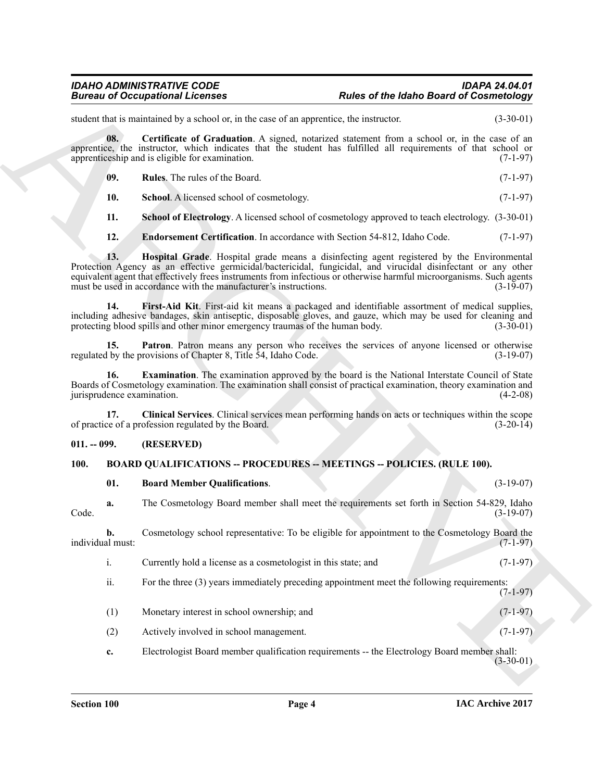# <span id="page-3-13"></span><span id="page-3-12"></span><span id="page-3-11"></span><span id="page-3-9"></span><span id="page-3-6"></span><span id="page-3-4"></span>*IDAHO ADMINISTRATIVE CODE IDAPA 24.04.01* **Rules of the Idaho Board of Cosmetology**

# <span id="page-3-10"></span><span id="page-3-8"></span><span id="page-3-7"></span><span id="page-3-5"></span><span id="page-3-0"></span>**011. -- 099. (RESERVED)**

# <span id="page-3-1"></span>**100. BOARD QUALIFICATIONS -- PROCEDURES -- MEETINGS -- POLICIES. (RULE 100).**

<span id="page-3-3"></span><span id="page-3-2"></span>

|  | <b>Board Member Qualifications.</b> |  |  | $(3-19-07)$ |
|--|-------------------------------------|--|--|-------------|
|--|-------------------------------------|--|--|-------------|

|                                   | <b>Bureau of Occupational Licenses</b>                                                                                                                                                                                                                                                                                                                                                                  | <b>Rules of the Idaho Board of Cosmetology</b>                                     |
|-----------------------------------|---------------------------------------------------------------------------------------------------------------------------------------------------------------------------------------------------------------------------------------------------------------------------------------------------------------------------------------------------------------------------------------------------------|------------------------------------------------------------------------------------|
|                                   | student that is maintained by a school or, in the case of an apprentice, the instructor.                                                                                                                                                                                                                                                                                                                | $(3-30-01)$                                                                        |
| 08.                               | Certificate of Graduation. A signed, notarized statement from a school or, in the case of an<br>apprentice, the instructor, which indicates that the student has fulfilled all requirements of that school or<br>apprenticeship and is eligible for examination.                                                                                                                                        | $(7-1-97)$                                                                         |
| 09.                               | Rules. The rules of the Board.                                                                                                                                                                                                                                                                                                                                                                          | $(7-1-97)$                                                                         |
| 10.                               | School. A licensed school of cosmetology.                                                                                                                                                                                                                                                                                                                                                               | $(7-1-97)$                                                                         |
| 11.                               | <b>School of Electrology.</b> A licensed school of cosmetology approved to teach electrology. (3-30-01)                                                                                                                                                                                                                                                                                                 |                                                                                    |
| 12.                               | Endorsement Certification. In accordance with Section 54-812, Idaho Code.                                                                                                                                                                                                                                                                                                                               | $(7-1-97)$                                                                         |
| 13.                               | Hospital Grade. Hospital grade means a disinfecting agent registered by the Environmental<br>Protection Agency as an effective germicidal/bactericidal, fungicidal, and virucidal disinfectant or any other<br>equivalent agent that effectively frees instruments from infectious or otherwise harmful microorganisms. Such agents<br>must be used in accordance with the manufacturer's instructions. | $(3-19-07)$                                                                        |
| 14.                               | First-Aid Kit. First-aid kit means a packaged and identifiable assortment of medical supplies,<br>including adhesive bandages, skin antiseptic, disposable gloves, and gauze, which may be used for cleaning and<br>protecting blood spills and other minor emergency traumas of the human body.                                                                                                        | $(3-30-01)$                                                                        |
| 15.                               | Patron. Patron means any person who receives the services of anyone licensed or otherwise<br>regulated by the provisions of Chapter 8, Title 54, Idaho Code.                                                                                                                                                                                                                                            | $(3-19-07)$                                                                        |
| 16.<br>jurisprudence examination. | Examination. The examination approved by the board is the National Interstate Council of State<br>Boards of Cosmetology examination. The examination shall consist of practical examination, theory examination and                                                                                                                                                                                     | $(4-2-08)$                                                                         |
| 17.                               | Clinical Services. Clinical services mean performing hands on acts or techniques within the scope<br>of practice of a profession regulated by the Board.                                                                                                                                                                                                                                                | $(3-20-14)$                                                                        |
| $011. - 099.$                     | (RESERVED)                                                                                                                                                                                                                                                                                                                                                                                              |                                                                                    |
|                                   | <b>BOARD QUALIFICATIONS -- PROCEDURES -- MEETINGS -- POLICIES. (RULE 100).</b>                                                                                                                                                                                                                                                                                                                          |                                                                                    |
| <b>100.</b>                       |                                                                                                                                                                                                                                                                                                                                                                                                         |                                                                                    |
| 01.                               | <b>Board Member Qualifications.</b>                                                                                                                                                                                                                                                                                                                                                                     |                                                                                    |
| a.<br>Code.                       | The Cosmetology Board member shall meet the requirements set forth in Section 54-829, Idaho                                                                                                                                                                                                                                                                                                             |                                                                                    |
| b.<br>individual must:            | Cosmetology school representative: To be eligible for appointment to the Cosmetology Board the                                                                                                                                                                                                                                                                                                          |                                                                                    |
| $\mathbf{i}$ .                    | Currently hold a license as a cosmetologist in this state; and                                                                                                                                                                                                                                                                                                                                          |                                                                                    |
| ii.                               | For the three (3) years immediately preceding appointment meet the following requirements:                                                                                                                                                                                                                                                                                                              |                                                                                    |
| (1)                               | Monetary interest in school ownership; and                                                                                                                                                                                                                                                                                                                                                              | $(3-19-07)$<br>$(3-19-07)$<br>$(7-1-97)$<br>$(7-1-97)$<br>$(7-1-97)$<br>$(7-1-97)$ |
| (2)                               | Actively involved in school management.                                                                                                                                                                                                                                                                                                                                                                 | $(7-1-97)$                                                                         |
| c.                                | Electrologist Board member qualification requirements -- the Electrology Board member shall:                                                                                                                                                                                                                                                                                                            | $(3-30-01)$                                                                        |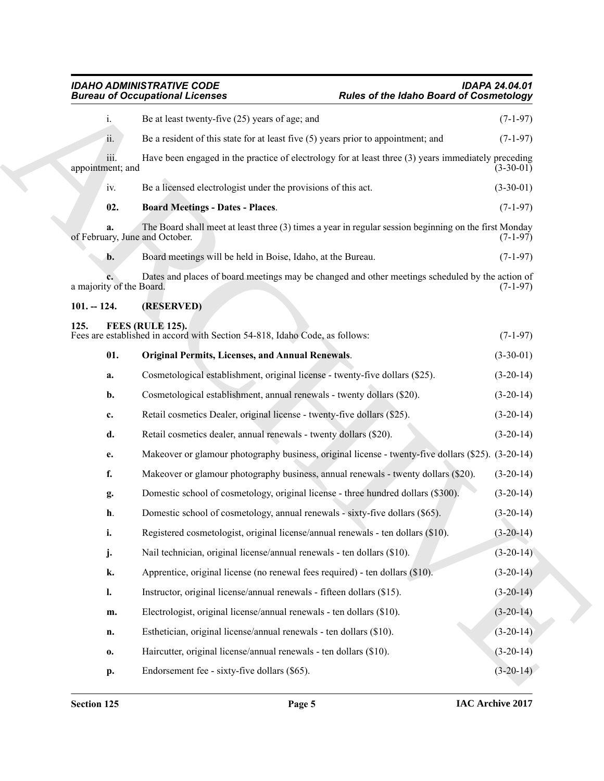# <span id="page-4-4"></span><span id="page-4-3"></span><span id="page-4-2"></span><span id="page-4-1"></span><span id="page-4-0"></span>*IDAHO ADMINISTRATIVE CODE IDAPA 24.04.01 Bureau of Occupational Licenses Rules of the Idaho Board of Cosmetology*

|                                      | <b>Bureau of Occupational Licenses</b>                                                                | <b>Rules of the Idaho Board of Cosmetology</b> |             |
|--------------------------------------|-------------------------------------------------------------------------------------------------------|------------------------------------------------|-------------|
| i.                                   | Be at least twenty-five (25) years of age; and                                                        |                                                | $(7-1-97)$  |
| ii.                                  | Be a resident of this state for at least five $(5)$ years prior to appointment; and                   |                                                | $(7-1-97)$  |
| iii.<br>appointment; and             | Have been engaged in the practice of electrology for at least three (3) years immediately preceding   |                                                | $(3-30-01)$ |
| iv.                                  | Be a licensed electrologist under the provisions of this act.                                         |                                                | $(3-30-01)$ |
| 02.                                  | <b>Board Meetings - Dates - Places.</b>                                                               |                                                | $(7-1-97)$  |
| a.<br>of February, June and October. | The Board shall meet at least three (3) times a year in regular session beginning on the first Monday |                                                | $(7-1-97)$  |
| b.                                   | Board meetings will be held in Boise, Idaho, at the Bureau.                                           |                                                | $(7-1-97)$  |
| a majority of the Board.             | Dates and places of board meetings may be changed and other meetings scheduled by the action of       |                                                | $(7-1-97)$  |
| $101. - 124.$                        | (RESERVED)                                                                                            |                                                |             |
| 125.                                 | FEES (RULE 125).<br>Fees are established in accord with Section 54-818, Idaho Code, as follows:       |                                                | $(7-1-97)$  |
| 01.                                  | <b>Original Permits, Licenses, and Annual Renewals.</b>                                               |                                                | $(3-30-01)$ |
| a.                                   | Cosmetological establishment, original license - twenty-five dollars (\$25).                          |                                                | $(3-20-14)$ |
| b.                                   | Cosmetological establishment, annual renewals - twenty dollars (\$20).                                |                                                | $(3-20-14)$ |
| c.                                   | Retail cosmetics Dealer, original license - twenty-five dollars (\$25).                               |                                                | $(3-20-14)$ |
| d.                                   | Retail cosmetics dealer, annual renewals - twenty dollars (\$20).                                     |                                                | $(3-20-14)$ |
| e.                                   | Makeover or glamour photography business, original license - twenty-five dollars (\$25). (3-20-14)    |                                                |             |
| f.                                   | Makeover or glamour photography business, annual renewals - twenty dollars (\$20).                    |                                                | $(3-20-14)$ |
| g.                                   | Domestic school of cosmetology, original license - three hundred dollars (\$300).                     |                                                | $(3-20-14)$ |
| h.                                   | Domestic school of cosmetology, annual renewals - sixty-five dollars (\$65).                          |                                                | $(3-20-14)$ |
| i.                                   | Registered cosmetologist, original license/annual renewals - ten dollars (\$10).                      |                                                | $(3-20-14)$ |
| j.                                   | Nail technician, original license/annual renewals - ten dollars (\$10).                               |                                                | $(3-20-14)$ |
| k.                                   | Apprentice, original license (no renewal fees required) - ten dollars (\$10).                         |                                                | $(3-20-14)$ |
| $\mathbf{l}$ .                       | Instructor, original license/annual renewals - fifteen dollars (\$15).                                |                                                | $(3-20-14)$ |
|                                      | Electrologist, original license/annual renewals - ten dollars (\$10).                                 |                                                | $(3-20-14)$ |
| m.                                   |                                                                                                       |                                                | $(3-20-14)$ |
| n.                                   | Esthetician, original license/annual renewals - ten dollars (\$10).                                   |                                                |             |
| $\mathbf{0}$                         | Haircutter, original license/annual renewals - ten dollars (\$10).                                    |                                                | $(3-20-14)$ |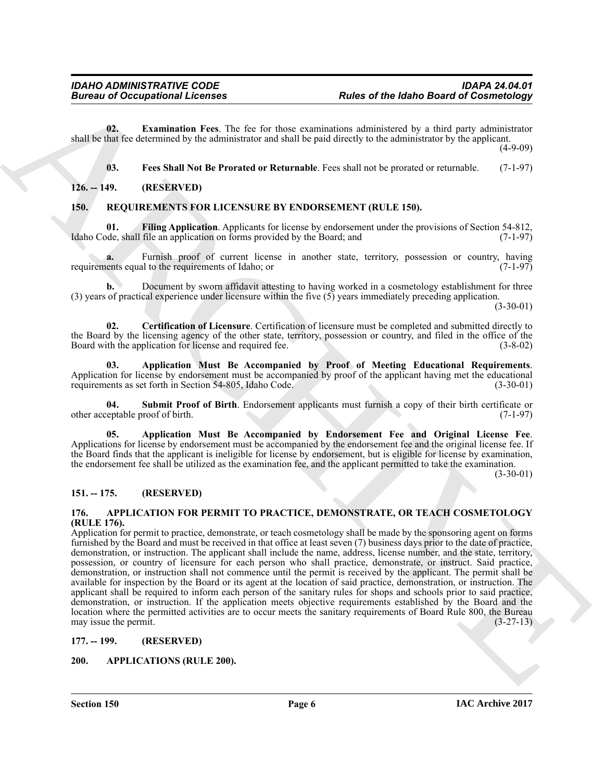**02. Examination Fees**. The fee for those examinations administered by a third party administrator shall be that fee determined by the administrator and shall be paid directly to the administrator by the applicant.

(4-9-09)

<span id="page-5-14"></span><span id="page-5-10"></span><span id="page-5-9"></span><span id="page-5-8"></span>**03. Fees Shall Not Be Prorated or Returnable**. Fees shall not be prorated or returnable. (7-1-97)

# <span id="page-5-0"></span>**126. -- 149. (RESERVED)**

# <span id="page-5-1"></span>**150. REQUIREMENTS FOR LICENSURE BY ENDORSEMENT (RULE 150).**

**01. Filing Application**. Applicants for license by endorsement under the provisions of Section 54-812, Idaho Code, shall file an application on forms provided by the Board; and

**a.** Furnish proof of current license in another state, territory, possession or country, having ents equal to the requirements of Idaho; or (7-1-97) requirements equal to the requirements of Idaho; or

**b.** Document by sworn affidavit attesting to having worked in a cosmetology establishment for three (3) years of practical experience under licensure within the five (5) years immediately preceding application.

 $(3-30-01)$ 

<span id="page-5-13"></span>**02. Certification of Licensure**. Certification of licensure must be completed and submitted directly to the Board by the licensing agency of the other state, territory, possession or country, and filed in the office of the Board with the application for license and required fee. (3-8-02)

<span id="page-5-12"></span>**03. Application Must Be Accompanied by Proof of Meeting Educational Requirements**. Application for license by endorsement must be accompanied by proof of the applicant having met the educational requirements as set forth in Section 54-805. Idaho Code. (3-30-01) requirements as set forth in Section 54-805, Idaho Code.

<span id="page-5-15"></span>**04. Submit Proof of Birth**. Endorsement applicants must furnish a copy of their birth certificate or other acceptable proof of birth.

<span id="page-5-11"></span>**05. Application Must Be Accompanied by Endorsement Fee and Original License Fee**. Applications for license by endorsement must be accompanied by the endorsement fee and the original license fee. If the Board finds that the applicant is ineligible for license by endorsement, but is eligible for license by examination, the endorsement fee shall be utilized as the examination fee, and the applicant permitted to take the examination.

 $(3-30-01)$ 

# <span id="page-5-2"></span>**151. -- 175. (RESERVED)**

# <span id="page-5-6"></span><span id="page-5-3"></span>**176. APPLICATION FOR PERMIT TO PRACTICE, DEMONSTRATE, OR TEACH COSMETOLOGY (RULE 176).**

**Example 20** Comparisonal Licenses<br> **Example 20** Comparisonal Licenses<br> **Example 20** Comparisonal Press Distribution of the Unit Deal Comparisonal Press Distribution (Press Notification 2013)<br>
1. For Shall Not the Provide Application for permit to practice, demonstrate, or teach cosmetology shall be made by the sponsoring agent on forms furnished by the Board and must be received in that office at least seven (7) business days prior to the date of practice, demonstration, or instruction. The applicant shall include the name, address, license number, and the state, territory, possession, or country of licensure for each person who shall practice, demonstrate, or instruct. Said practice, demonstration, or instruction shall not commence until the permit is received by the applicant. The permit shall be available for inspection by the Board or its agent at the location of said practice, demonstration, or instruction. The applicant shall be required to inform each person of the sanitary rules for shops and schools prior to said practice, demonstration, or instruction. If the application meets objective requirements established by the Board and the location where the permitted activities are to occur meets the sanitary requirements of Board Rule 800, the Bureau may issue the permit.  $(3-27-13)$ 

# <span id="page-5-4"></span>**177. -- 199. (RESERVED)**

# <span id="page-5-7"></span><span id="page-5-5"></span>**200. APPLICATIONS (RULE 200).**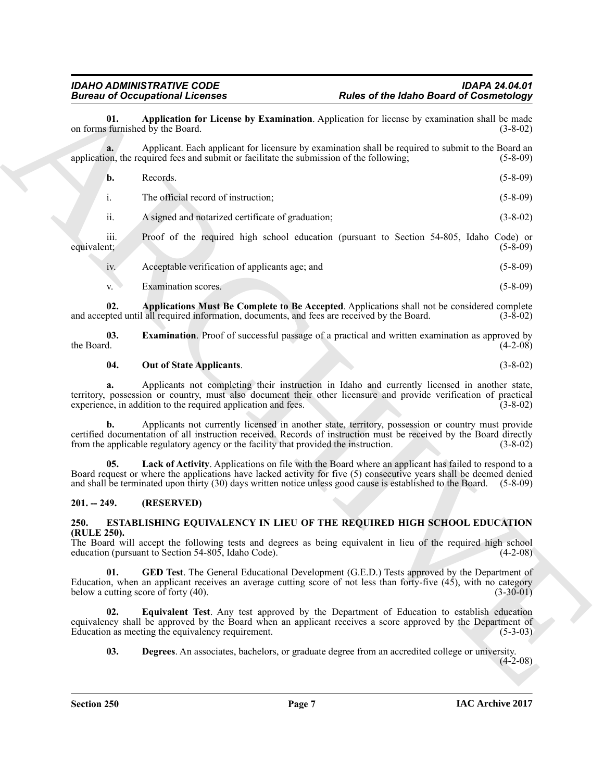<span id="page-6-2"></span>

| <b>Bureau of Occupational Licenses</b>                                                                                                                                                                                                            | <b>Rules of the Idaho Board of Cosmetology</b>                                                                       |
|---------------------------------------------------------------------------------------------------------------------------------------------------------------------------------------------------------------------------------------------------|----------------------------------------------------------------------------------------------------------------------|
| 01.<br>on forms furnished by the Board.                                                                                                                                                                                                           | Application for License by Examination. Application for license by examination shall be made<br>$(3 - 8 - 02)$       |
| a.<br>application, the required fees and submit or facilitate the submission of the following;                                                                                                                                                    | Applicant. Each applicant for licensure by examination shall be required to submit to the Board an<br>$(5-8-09)$     |
| Records.<br>b.                                                                                                                                                                                                                                    | $(5-8-09)$                                                                                                           |
| The official record of instruction;<br>i.                                                                                                                                                                                                         | $(5 - 8 - 09)$                                                                                                       |
| ii.<br>A signed and notarized certificate of graduation;                                                                                                                                                                                          | $(3 - 8 - 02)$                                                                                                       |
| iii.<br>equivalent;                                                                                                                                                                                                                               | Proof of the required high school education (pursuant to Section 54-805, Idaho Code) or<br>$(5-8-09)$                |
| Acceptable verification of applicants age; and<br>iv.                                                                                                                                                                                             | $(5 - 8 - 09)$                                                                                                       |
| Examination scores.<br>V.                                                                                                                                                                                                                         | $(5-8-09)$                                                                                                           |
| 02.<br>and accepted until all required information, documents, and fees are received by the Board.                                                                                                                                                | Applications Must Be Complete to Be Accepted. Applications shall not be considered complete<br>$(3-8-02)$            |
| 03.<br>the Board.                                                                                                                                                                                                                                 | <b>Examination</b> . Proof of successful passage of a practical and written examination as approved by<br>$(4-2-08)$ |
| 04.<br><b>Out of State Applicants.</b>                                                                                                                                                                                                            | $(3 - 8 - 02)$                                                                                                       |
| a.<br>territory, possession or country, must also document their other licensure and provide verification of practical<br>experience, in addition to the required application and fees.                                                           | Applicants not completing their instruction in Idaho and currently licensed in another state,<br>$(3-8-02)$          |
| b.<br>certified documentation of all instruction received. Records of instruction must be received by the Board directly<br>from the applicable regulatory agency or the facility that provided the instruction.                                  | Applicants not currently licensed in another state, territory, possession or country must provide<br>$(3-8-02)$      |
| 05.<br>Board request or where the applications have lacked activity for five (5) consecutive years shall be deemed denied<br>and shall be terminated upon thirty (30) days written notice unless good cause is established to the Board. (5-8-09) | Lack of Activity. Applications on file with the Board where an applicant has failed to respond to a                  |
| (RESERVED)<br>$201. - 249.$                                                                                                                                                                                                                       |                                                                                                                      |
| ESTABLISHING EQUIVALENCY IN LIEU OF THE REQUIRED HIGH SCHOOL EDUCATION<br>250.                                                                                                                                                                    |                                                                                                                      |
| (RULE 250).<br>The Board will accept the following tests and degrees as being equivalent in lieu of the required high school<br>education (pursuant to Section 54-805, Idaho Code).                                                               | $(4-2-08)$                                                                                                           |
| 01.<br>Education, when an applicant receives an average cutting score of not less than forty-five (45), with no category<br>below a cutting score of forty (40).                                                                                  | <b>GED Test</b> . The General Educational Development (G.E.D.) Tests approved by the Department of<br>$(3-30-01)$    |
| 02.<br>equivalency shall be approved by the Board when an applicant receives a score approved by the Department of<br>Education as meeting the equivalency requirement.                                                                           | <b>Equivalent Test.</b> Any test approved by the Department of Education to establish education<br>$(5-3-03)$        |
| 03.                                                                                                                                                                                                                                               | Degrees. An associates, bachelors, or graduate degree from an accredited college or university.<br>$(4-2-08)$        |
|                                                                                                                                                                                                                                                   |                                                                                                                      |

# <span id="page-6-6"></span><span id="page-6-4"></span><span id="page-6-3"></span>**04. Out of State Applicants**. (3-8-02)

# <span id="page-6-5"></span><span id="page-6-0"></span>**201. -- 249. (RESERVED)**

# <span id="page-6-10"></span><span id="page-6-9"></span><span id="page-6-8"></span><span id="page-6-7"></span><span id="page-6-1"></span>**250. ESTABLISHING EQUIVALENCY IN LIEU OF THE REQUIRED HIGH SCHOOL EDUCATION (RULE 250).**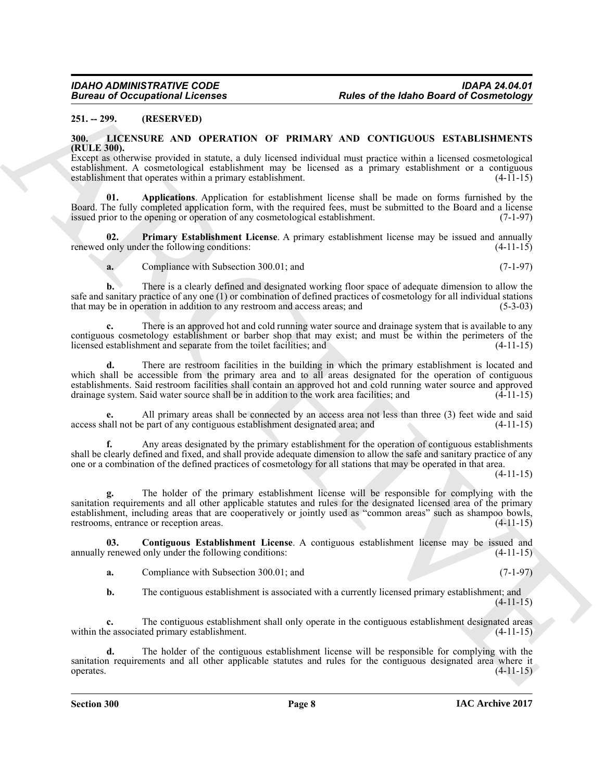# <span id="page-7-0"></span>**251. -- 299. (RESERVED)**

# <span id="page-7-2"></span><span id="page-7-1"></span>**300. LICENSURE AND OPERATION OF PRIMARY AND CONTIGUOUS ESTABLISHMENTS (RULE 300).**

Except as otherwise provided in statute, a duly licensed individual must practice within a licensed cosmetological establishment. A cosmetological establishment may be licensed as a primary establishment or a contiguous establishment that operates within a primary establishment. (4-11-15) establishment that operates within a primary establishment.

<span id="page-7-3"></span>**01. Applications**. Application for establishment license shall be made on forms furnished by the Board. The fully completed application form, with the required fees, must be submitted to the Board and a license issued prior to the opening or operation of any cosmetological establishment. (7-1-97) issued prior to the opening or operation of any cosmetological establishment.

**02.** Primary Establishment License. A primary establishment license may be issued and annually only under the following conditions: (4-11-15) renewed only under the following conditions:

<span id="page-7-5"></span>**a.** Compliance with Subsection 300.01; and (7-1-97)

**b.** There is a clearly defined and designated working floor space of adequate dimension to allow the safe and sanitary practice of any one (1) or combination of defined practices of cosmetology for all individual stations<br>that may be in operation in addition to any restroom and access areas: and (5-3-03) that may be in operation in addition to any restroom and access areas; and

**c.** There is an approved hot and cold running water source and drainage system that is available to any contiguous cosmetology establishment or barber shop that may exist; and must be within the perimeters of the licensed establishment and separate from the toilet facilities; and (4-11-15) licensed establishment and separate from the toilet facilities; and

**d.** There are restroom facilities in the building in which the primary establishment is located and which shall be accessible from the primary area and to all areas designated for the operation of contiguous establishments. Said restroom facilities shall contain an approved hot and cold running water source and approved drainage system. Said water source shall be in addition to the work area facilities; and (4-11-15) drainage system. Said water source shall be in addition to the work area facilities; and

All primary areas shall be connected by an access area not less than three (3) feet wide and said e part of any contiguous establishment designated area; and  $(4-11-15)$ access shall not be part of any contiguous establishment designated area; and

**f.** Any areas designated by the primary establishment for the operation of contiguous establishments shall be clearly defined and fixed, and shall provide adequate dimension to allow the safe and sanitary practice of any one or a combination of the defined practices of cosmetology for all stations that may be operated in that area.

(4-11-15)

**Example 20**<br> **Example 20**<br> **Example 20**<br> **Example 20**<br> **Example 20**<br> **Example 20**<br> **Example 20**<br> **Example 20**<br> **Example 20**<br> **Example 20**<br> **Example 20**<br> **Example 20**<br> **Example 20**<br> **Example 20**<br> **Example 20**<br> **Example 20 g.** The holder of the primary establishment license will be responsible for complying with the sanitation requirements and all other applicable statutes and rules for the designated licensed area of the primary establishment, including areas that are cooperatively or jointly used as "common areas" such as shampoo bowls, restrooms, entrance or reception areas. (4-11-15)

**03.** Contiguous Establishment License. A contiguous establishment license may be issued and renewed only under the following conditions: (4-11-15) annually renewed only under the following conditions:

<span id="page-7-4"></span>**a.** Compliance with Subsection 300.01; and (7-1-97)

**b.** The contiguous establishment is associated with a currently licensed primary establishment; and  $(4-11-15)$ 

**c.** The contiguous establishment shall only operate in the contiguous establishment designated areas e associated primary establishment. (4-11-15) within the associated primary establishment.

**d.** The holder of the contiguous establishment license will be responsible for complying with the sanitation requirements and all other applicable statutes and rules for the contiguous designated area where it operates. (4-11-15) operates.  $(4-11-15)$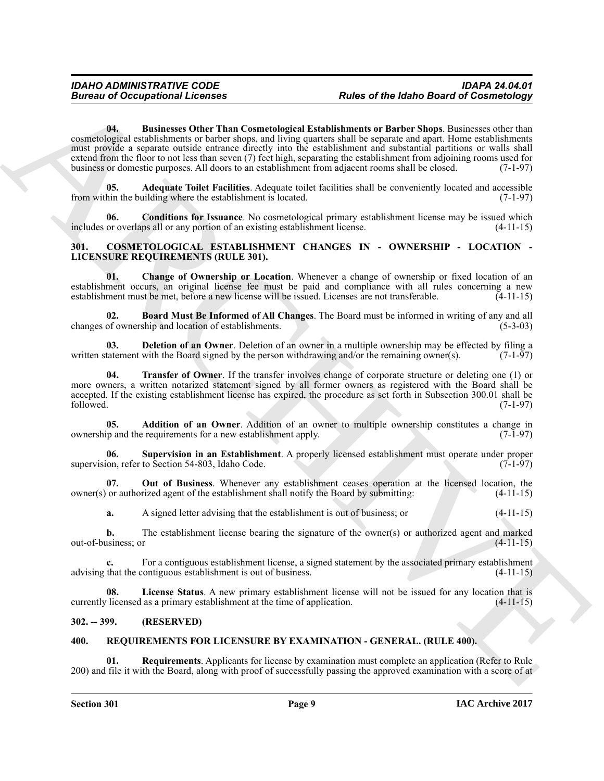**Extracted and Contract Control in the Contract Control in the Contract Contract Contract Contract Contract Contract Contract Contract Contract Contract Contract Contract Contract Contract Contract Contract Contract Contr 04. Businesses Other Than Cosmetological Establishments or Barber Shops**. Businesses other than cosmetological establishments or barber shops, and living quarters shall be separate and apart. Home establishments must provide a separate outside entrance directly into the establishment and substantial partitions or walls shall extend from the floor to not less than seven (7) feet high, separating the establishment from adjoining rooms used for business or domestic purposes. All doors to an establishment from adjacent rooms shall be closed. (7-1-97)

<span id="page-8-13"></span><span id="page-8-12"></span>**05. Adequate Toilet Facilities**. Adequate toilet facilities shall be conveniently located and accessible from within the building where the establishment is located. (7-1-97)

<span id="page-8-14"></span>**06.** Conditions for Issuance. No cosmetological primary establishment license may be issued which or overlaps all or any portion of an existing establishment license. (4-11-15) includes or overlaps all or any portion of an existing establishment license.

# <span id="page-8-3"></span><span id="page-8-0"></span>**301. COSMETOLOGICAL ESTABLISHMENT CHANGES IN - OWNERSHIP - LOCATION - LICENSURE REQUIREMENTS (RULE 301).**

<span id="page-8-6"></span>**01. Change of Ownership or Location**. Whenever a change of ownership or fixed location of an establishment occurs, an original license fee must be paid and compliance with all rules concerning a new establishment must be met, before a new license will be issued. Licenses are not transferable. (4-11-15)

<span id="page-8-5"></span>**02. Board Must Be Informed of All Changes**. The Board must be informed in writing of any and all changes of ownership and location of establishments.

<span id="page-8-7"></span>**03. Deletion of an Owner**. Deletion of an owner in a multiple ownership may be effected by filing a tatement with the Board signed by the person withdrawing and/or the remaining owner(s). (7-1-97) written statement with the Board signed by the person withdrawing and/or the remaining owner(s).

<span id="page-8-11"></span>**04. Transfer of Owner**. If the transfer involves change of corporate structure or deleting one (1) or more owners, a written notarized statement signed by all former owners as registered with the Board shall be accepted. If the existing establishment license has expired, the procedure as set forth in Subsection 300.01 shall be followed. (7-1-97)  $f_{\text{followed.}}$  (7-1-97)

<span id="page-8-4"></span>**05. Addition of an Owner**. Addition of an owner to multiple ownership constitutes a change in ip and the requirements for a new establishment apply. (7-1-97) ownership and the requirements for a new establishment apply.

<span id="page-8-10"></span>**06. Supervision in an Establishment**. A properly licensed establishment must operate under proper supervision, refer to Section 54-803, Idaho Code.

**07.** Out of Business. Whenever any establishment ceases operation at the licensed location, the or authorized agent of the establishment shall notify the Board by submitting: (4-11-15) owner(s) or authorized agent of the establishment shall notify the Board by submitting:

<span id="page-8-9"></span>**a.** A signed letter advising that the establishment is out of business; or  $(4-11-15)$ 

**b.** The establishment license bearing the signature of the owner(s) or authorized agent and marked usiness; or  $(4-11-15)$ out-of-business; or

For a contiguous establishment license, a signed statement by the associated primary establishment contiguous establishment is out of business. (4-11-15) advising that the contiguous establishment is out of business.

<span id="page-8-8"></span>**08.** License Status. A new primary establishment license will not be issued for any location that is licensed as a primary establishment at the time of application. (4-11-15) currently licensed as a primary establishment at the time of application.

# <span id="page-8-1"></span>**302. -- 399. (RESERVED)**

# <span id="page-8-15"></span><span id="page-8-2"></span>**400. REQUIREMENTS FOR LICENSURE BY EXAMINATION - GENERAL. (RULE 400).**

<span id="page-8-16"></span>**Requirements**. Applicants for license by examination must complete an application (Refer to Rule) 200) and file it with the Board, along with proof of successfully passing the approved examination with a score of at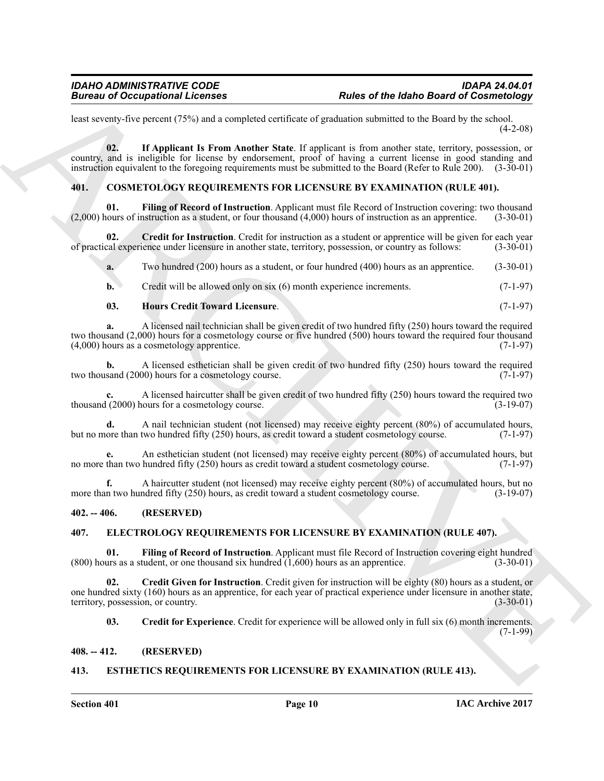least seventy-five percent (75%) and a completed certificate of graduation submitted to the Board by the school.  $(4-2-08)$ 

<span id="page-9-14"></span>**02. If Applicant Is From Another State**. If applicant is from another state, territory, possession, or country, and is ineligible for license by endorsement, proof of having a current license in good standing and instruction equivalent to the foregoing requirements must be submitted to the Board (Refer to Rule 200). (3-30-01)

# <span id="page-9-7"></span><span id="page-9-5"></span><span id="page-9-0"></span>**401. COSMETOLOGY REQUIREMENTS FOR LICENSURE BY EXAMINATION (RULE 401).**

**01.** Filing of Record of Instruction. Applicant must file Record of Instruction covering: two thousand nours of instruction as a student, or four thousand (4,000) hours of instruction as an apprentice. (3-30-01)  $(2,000)$  hours of instruction as a student, or four thousand  $(4,000)$  hours of instruction as an apprentice.

**02.** Credit for Instruction. Credit for instruction as a student or apprentice will be given for each year cal experience under licensure in another state, territory, possession, or country as follows: (3-30-01) of practical experience under licensure in another state, territory, possession, or country as follows:

<span id="page-9-6"></span>**a.** Two hundred (200) hours as a student, or four hundred (400) hours as an apprentice. (3-30-01)

<span id="page-9-8"></span>**b.** Credit will be allowed only on six (6) month experience increments. (7-1-97)

# **03. Hours Credit Toward Licensure**. (7-1-97)

**a.** A licensed nail technician shall be given credit of two hundred fifty (250) hours toward the required two thousand  $(2,000)$  hours for a cosmetology course or five hundred (500) hours toward the required four thousand  $(4,000)$  hours as a cosmetology apprentice.  $(4,000)$  hours as a cosmetology apprentice.

**b.** A licensed esthetician shall be given credit of two hundred fifty (250) hours toward the required sand (2000) hours for a cosmetology course. two thousand  $(2000)$  hours for a cosmetology course.

**c.** A licensed haircutter shall be given credit of two hundred fifty (250) hours toward the required two thousand  $(2000)$  hours for a cosmetology course.

**d.** A nail technician student (not licensed) may receive eighty percent (80%) of accumulated hours, ore than two hundred fifty (250) hours, as credit toward a student cosmetology course. (7-1-97) but no more than two hundred fifty (250) hours, as credit toward a student cosmetology course.

**e.** An esthetician student (not licensed) may receive eighty percent (80%) of accumulated hours, but than two hundred fifty (250) hours as credit toward a student cosmetology course. (7-1-97) no more than two hundred fifty (250) hours as credit toward a student cosmetology course.

**f.** A haircutter student (not licensed) may receive eighty percent (80%) of accumulated hours, but no n two hundred fifty (250) hours, as credit toward a student cosmetology course. (3-19-07) more than two hundred fifty (250) hours, as credit toward a student cosmetology course.

# <span id="page-9-1"></span>**402. -- 406. (RESERVED)**

# <span id="page-9-9"></span><span id="page-9-2"></span>**407. ELECTROLOGY REQUIREMENTS FOR LICENSURE BY EXAMINATION (RULE 407).**

<span id="page-9-12"></span>**01.** Filing of Record of Instruction. Applicant must file Record of Instruction covering eight hundred (uss as a student, or one thousand six hundred (1.600) hours as an apprentice. (3-30-01)  $(800)$  hours as a student, or one thousand six hundred  $(1,600)$  hours as an apprentice.

Boreaux of Occupations I. February 16. February 16. February 16. February 16. February 16. February 16. February 16. February 16. The properties of the state of the state of the state of the state of the state of the stat **02. Credit Given for Instruction**. Credit given for instruction will be eighty (80) hours as a student, or one hundred sixty (160) hours as an apprentice, for each year of practical experience under licensure in another state, territory, possession, or country. (3-30-01) territory, possession, or country.

<span id="page-9-11"></span><span id="page-9-10"></span>**03.** Credit for Experience. Credit for experience will be allowed only in full six (6) month increments. (7-1-99)

# <span id="page-9-3"></span>**408. -- 412. (RESERVED)**

# <span id="page-9-13"></span><span id="page-9-4"></span>**413. ESTHETICS REQUIREMENTS FOR LICENSURE BY EXAMINATION (RULE 413).**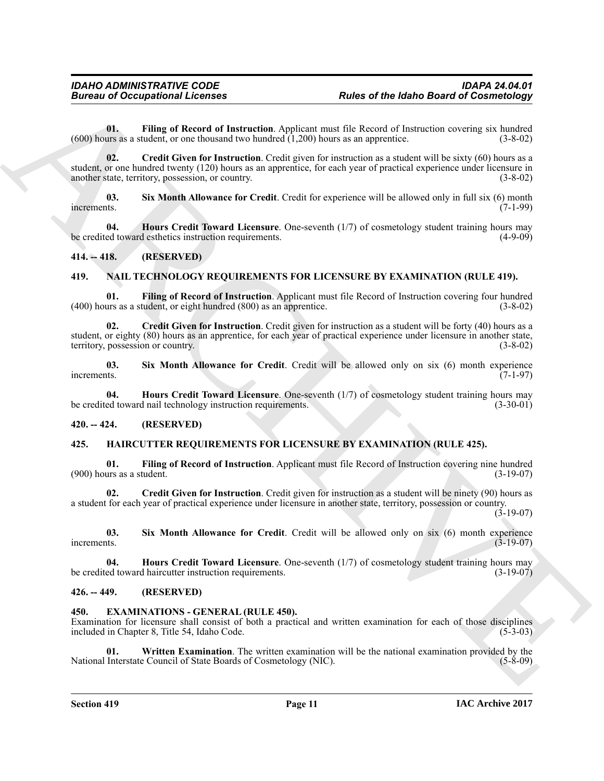<span id="page-10-7"></span><span id="page-10-6"></span>**01.** Filing of Record of Instruction. Applicant must file Record of Instruction covering six hundred (Is as a student, or one thousand two hundred (1.200) hours as an apprentice. (3-8-02)  $(600)$  hours as a student, or one thousand two hundred  $(1,200)$  hours as an apprentice.

**Eurosis of Occupational Licenses**<br> **Also of the bland Down for distribution**<br>
(con bars and the interaction Applican must all because the state of multipliers, and the state of the properties<br>
(con bars and the interacti **02. Credit Given for Instruction**. Credit given for instruction as a student will be sixty (60) hours as a student, or one hundred twenty (120) hours as an apprentice, for each year of practical experience under licensure in another state, territory, possession, or country. (3-8-02) another state, territory, possession, or country.

<span id="page-10-9"></span>**03. Six Month Allowance for Credit**. Credit for experience will be allowed only in full six (6) month increments. (7-1-99)

<span id="page-10-8"></span>**04. Hours Credit Toward Licensure**. One-seventh (1/7) of cosmetology student training hours may ed toward esthetics instruction requirements. be credited toward esthetics instruction requirements.

# <span id="page-10-0"></span>**414. -- 418. (RESERVED)**

# <span id="page-10-19"></span><span id="page-10-17"></span><span id="page-10-1"></span>**419. NAIL TECHNOLOGY REQUIREMENTS FOR LICENSURE BY EXAMINATION (RULE 419).**

**01. Filing of Record of Instruction**. Applicant must file Record of Instruction covering four hundred  $(400)$  hours as a student, or eight hundred  $(800)$  as an apprentice.

<span id="page-10-18"></span>**02. Credit Given for Instruction**. Credit given for instruction as a student will be forty (40) hours as a student, or eighty (80) hours as an apprentice, for each year of practical experience under licensure in another state, territory, possession or country. (3-8-02)

<span id="page-10-21"></span>**03.** Six Month Allowance for Credit. Credit will be allowed only on six (6) month experience increments. (7-1-97) increments. (7-1-97)

<span id="page-10-20"></span>**04. Hours Credit Toward Licensure**. One-seventh (1/7) of cosmetology student training hours may ed toward nail technology instruction requirements. (3-30-01) be credited toward nail technology instruction requirements.

# <span id="page-10-2"></span>**420. -- 424. (RESERVED)**

# <span id="page-10-12"></span><span id="page-10-3"></span>**425. HAIRCUTTER REQUIREMENTS FOR LICENSURE BY EXAMINATION (RULE 425).**

<span id="page-10-14"></span>**01. Filing of Record of Instruction**. Applicant must file Record of Instruction covering nine hundred  $(900)$  hours as a student.

<span id="page-10-13"></span>**02. Credit Given for Instruction**. Credit given for instruction as a student will be ninety (90) hours as a student for each year of practical experience under licensure in another state, territory, possession or country.  $(3-19-07)$ 

<span id="page-10-16"></span>**03.** Six Month Allowance for Credit. Credit will be allowed only on six (6) month experience increments. (3-19-07) increments.  $(3-19-07)$ 

<span id="page-10-15"></span>**04. Hours Credit Toward Licensure**. One-seventh (1/7) of cosmetology student training hours may ed toward haircutter instruction requirements. (3-19-07) be credited toward haircutter instruction requirements.

# <span id="page-10-4"></span>**426. -- 449. (RESERVED)**

# <span id="page-10-10"></span><span id="page-10-5"></span>**450. EXAMINATIONS - GENERAL (RULE 450).**

Examination for licensure shall consist of both a practical and written examination for each of those disciplines included in Chapter 8, Title 54, Idaho Code. (5-3-03) included in Chapter 8, Title 54, Idaho Code.

<span id="page-10-11"></span>**01.** Written Examination. The written examination will be the national examination provided by the Interstate Council of State Boards of Cosmetology (NIC). (5-8-09) National Interstate Council of State Boards of Cosmetology (NIC).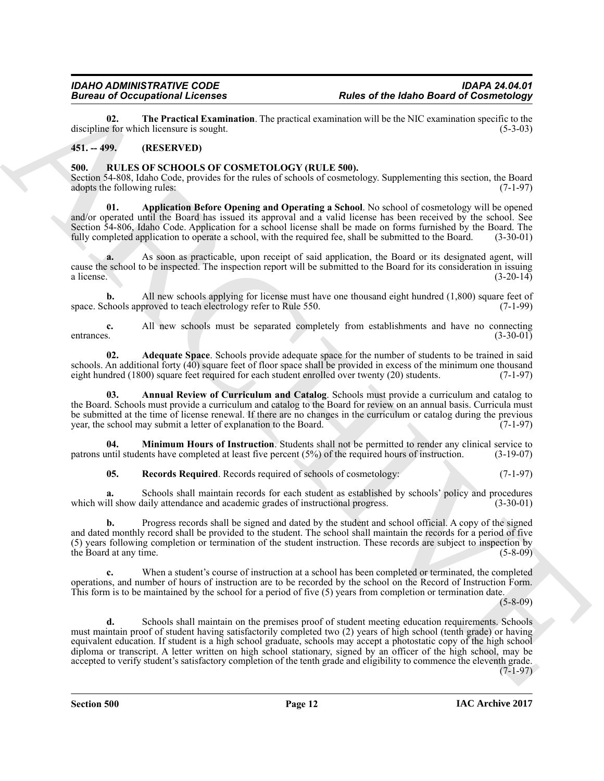<span id="page-11-2"></span>**02. The Practical Examination**. The practical examination will be the NIC examination specific to the e for which licensure is sought. discipline for which licensure is sought.

# <span id="page-11-0"></span>**451. -- 499. (RESERVED)**

# <span id="page-11-3"></span><span id="page-11-1"></span>**500. RULES OF SCHOOLS OF COSMETOLOGY (RULE 500).**

Section 54-808, Idaho Code, provides for the rules of schools of cosmetology. Supplementing this section, the Board adopts the following rules: (7-1-97) adopts the following rules:

<span id="page-11-6"></span>**01. Application Before Opening and Operating a School**. No school of cosmetology will be opened and/or operated until the Board has issued its approval and a valid license has been received by the school. See Section 54-806, Idaho Code. Application for a school license shall be made on forms furnished by the Board. The fully completed application to operate a school, with the required fee, shall be submitted to the Board. (3-30 fully completed application to operate a school, with the required fee, shall be submitted to the Board.

**a.** As soon as practicable, upon receipt of said application, the Board or its designated agent, will cause the school to be inspected. The inspection report will be submitted to the Board for its consideration in issuing a license. (3-20-14) a license.  $(3-20-14)$ 

**b.** All new schools applying for license must have one thousand eight hundred (1,800) square feet of chools approved to teach electrology refer to Rule 550. space. Schools approved to teach electrology refer to Rule 550.

**c.** All new schools must be separated completely from establishments and have no connecting entrances. (3-30-01) entrances. (3-30-01)

<span id="page-11-4"></span>**02. Adequate Space**. Schools provide adequate space for the number of students to be trained in said schools. An additional forty (40) square feet of floor space shall be provided in excess of the minimum one thousand eight hundred (1800) square feet required for each student enrolled over twenty (20) students. (7-1-97) eight hundred (1800) square feet required for each student enrolled over twenty (20) students.

<span id="page-11-5"></span>**03. Annual Review of Curriculum and Catalog**. Schools must provide a curriculum and catalog to the Board. Schools must provide a curriculum and catalog to the Board for review on an annual basis. Curricula must be submitted at the time of license renewal. If there are no changes in the curriculum or catalog during the previous year, the school may submit a letter of explanation to the Board. (7-1-97) year, the school may submit a letter of explanation to the Board.

**04. Minimum Hours of Instruction**. Students shall not be permitted to render any clinical service to intil students have completed at least five percent (5%) of the required hours of instruction. (3-19-07) patrons until students have completed at least five percent  $(5%)$  of the required hours of instruction.

<span id="page-11-8"></span><span id="page-11-7"></span>**05. Records Required**. Records required of schools of cosmetology: (7-1-97)

**a.** Schools shall maintain records for each student as established by schools' policy and procedures ill show daily attendance and academic grades of instructional progress. (3-30-01) which will show daily attendance and academic grades of instructional progress.

**b.** Progress records shall be signed and dated by the student and school official. A copy of the signed and dated monthly record shall be provided to the student. The school shall maintain the records for a period of five (5) years following completion or termination of the student instruction. These records are subject to inspection by the Board at any time.  $(5-8-09)$ the Board at any time.

When a student's course of instruction at a school has been completed or terminated, the completed operations, and number of hours of instruction are to be recorded by the school on the Record of Instruction Form. This form is to be maintained by the school for a period of five (5) years from completion or termination date.

 $(5 - 8 - 09)$ 

Borrow of Contrast Lemma in Route of the block Board of Contrast Contrast Contrast Contrast Contrast Contrast Contrast Contrast Contrast Contrast Contrast Contrast Contrast Contrast Contrast Contrast Contrast Contrast Con Schools shall maintain on the premises proof of student meeting education requirements. Schools must maintain proof of student having satisfactorily completed two (2) years of high school (tenth grade) or having equivalent education. If student is a high school graduate, schools may accept a photostatic copy of the high school diploma or transcript. A letter written on high school stationary, signed by an officer of the high school, may be accepted to verify student's satisfactory completion of the tenth grade and eligibility to commence the eleventh grade. (7-1-97)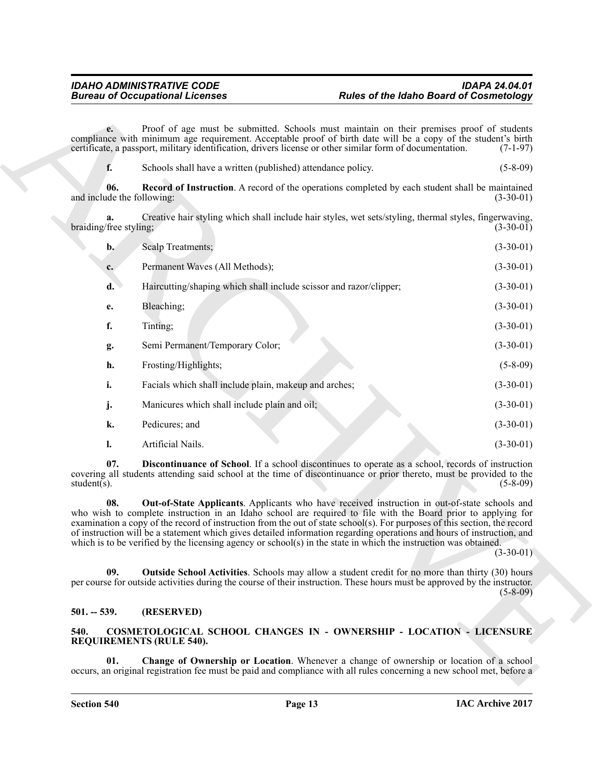<span id="page-12-7"></span>

|                                   | <b>Bureau of Occupational Licenses</b>                                                                                                                                                                                                                                                                                                                                                                                                                                                   | <b>Rules of the Idaho Board of Cosmetology</b>                                                           |                |
|-----------------------------------|------------------------------------------------------------------------------------------------------------------------------------------------------------------------------------------------------------------------------------------------------------------------------------------------------------------------------------------------------------------------------------------------------------------------------------------------------------------------------------------|----------------------------------------------------------------------------------------------------------|----------------|
| $e -$                             | compliance with minimum age requirement. Acceptable proof of birth date will be a copy of the student's birth<br>certificate, a passport, military identification, drivers license or other similar form of documentation.                                                                                                                                                                                                                                                               | Proof of age must be submitted. Schools must maintain on their premises proof of students                | $(7-1-97)$     |
| f.                                | Schools shall have a written (published) attendance policy.                                                                                                                                                                                                                                                                                                                                                                                                                              |                                                                                                          | $(5 - 8 - 09)$ |
| 06.<br>and include the following: |                                                                                                                                                                                                                                                                                                                                                                                                                                                                                          | <b>Record of Instruction</b> . A record of the operations completed by each student shall be maintained  | $(3-30-01)$    |
| a.<br>braiding/free styling;      |                                                                                                                                                                                                                                                                                                                                                                                                                                                                                          | Creative hair styling which shall include hair styles, wet sets/styling, thermal styles, fingerwaving,   | $(3-30-01)$    |
| $b$ .                             | Scalp Treatments;                                                                                                                                                                                                                                                                                                                                                                                                                                                                        |                                                                                                          | $(3-30-01)$    |
| $c_{\cdot}$                       | Permanent Waves (All Methods);                                                                                                                                                                                                                                                                                                                                                                                                                                                           |                                                                                                          | $(3-30-01)$    |
| d.                                | Haircutting/shaping which shall include scissor and razor/clipper;                                                                                                                                                                                                                                                                                                                                                                                                                       |                                                                                                          | $(3-30-01)$    |
| e.                                | Bleaching;                                                                                                                                                                                                                                                                                                                                                                                                                                                                               |                                                                                                          | $(3-30-01)$    |
| f.                                | Tinting;                                                                                                                                                                                                                                                                                                                                                                                                                                                                                 |                                                                                                          | $(3-30-01)$    |
| g.                                | Semi Permanent/Temporary Color;                                                                                                                                                                                                                                                                                                                                                                                                                                                          |                                                                                                          | $(3-30-01)$    |
| h.                                | Frosting/Highlights;                                                                                                                                                                                                                                                                                                                                                                                                                                                                     |                                                                                                          | $(5-8-09)$     |
| i.                                | Facials which shall include plain, makeup and arches;                                                                                                                                                                                                                                                                                                                                                                                                                                    |                                                                                                          | $(3-30-01)$    |
| j.                                | Manicures which shall include plain and oil;                                                                                                                                                                                                                                                                                                                                                                                                                                             |                                                                                                          | $(3-30-01)$    |
| k.                                | Pedicures; and                                                                                                                                                                                                                                                                                                                                                                                                                                                                           |                                                                                                          | $(3-30-01)$    |
| 1.                                | Artificial Nails.                                                                                                                                                                                                                                                                                                                                                                                                                                                                        |                                                                                                          | $(3-30-01)$    |
| 07.<br>student $(s)$ .            | covering all students attending said school at the time of discontinuance or prior thereto, must be provided to the                                                                                                                                                                                                                                                                                                                                                                      | Discontinuance of School. If a school discontinues to operate as a school, records of instruction        | $(5-8-09)$     |
| 08.                               | who wish to complete instruction in an Idaho school are required to file with the Board prior to applying for<br>examination a copy of the record of instruction from the out of state school(s). For purposes of this section, the record<br>of instruction will be a statement which gives detailed information regarding operations and hours of instruction, and<br>which is to be verified by the licensing agency or school(s) in the state in which the instruction was obtained. | <b>Out-of-State Applicants</b> . Applicants who have received instruction in out-of-state schools and    | $(3-30-01)$    |
| 09.                               | per course for outside activities during the course of their instruction. These hours must be approved by the instructor.                                                                                                                                                                                                                                                                                                                                                                | <b>Outside School Activities</b> . Schools may allow a student credit for no more than thirty (30) hours | $(5-8-09)$     |
| $501. - 539.$                     | (RESERVED)                                                                                                                                                                                                                                                                                                                                                                                                                                                                               |                                                                                                          |                |
| 540.                              | COSMETOLOGICAL SCHOOL CHANGES IN - OWNERSHIP - LOCATION - LICENSURE<br><b>REQUIREMENTS (RULE 540).</b>                                                                                                                                                                                                                                                                                                                                                                                   |                                                                                                          |                |
| 01.                               |                                                                                                                                                                                                                                                                                                                                                                                                                                                                                          | Change of Ownership or Location. Whenever a change of ownership or location of a school                  |                |

# <span id="page-12-6"></span><span id="page-12-5"></span><span id="page-12-4"></span><span id="page-12-0"></span>**501. -- 539. (RESERVED)**

# <span id="page-12-3"></span><span id="page-12-2"></span><span id="page-12-1"></span>**540. COSMETOLOGICAL SCHOOL CHANGES IN - OWNERSHIP - LOCATION - LICENSURE REQUIREMENTS (RULE 540).**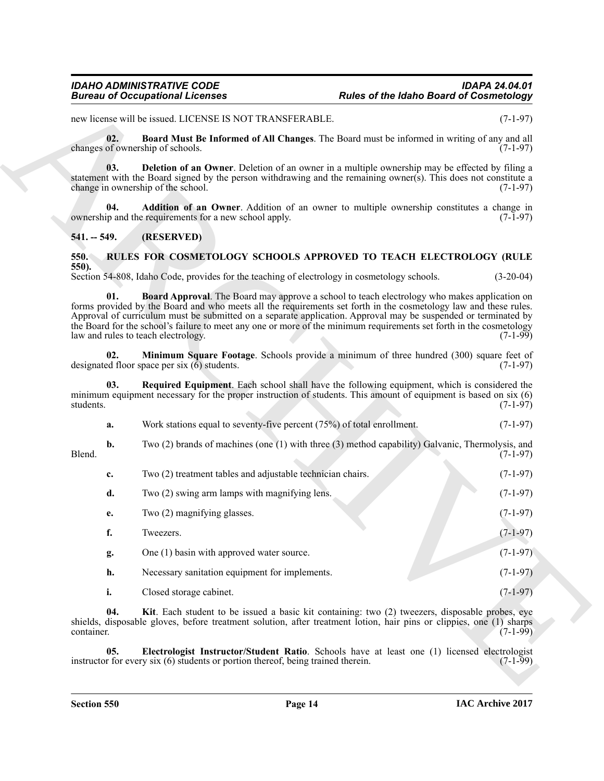# <span id="page-13-4"></span><span id="page-13-3"></span>*IDAHO ADMINISTRATIVE CODE IDAPA 24.04.01* **Rules of the Idaho Board of Cosmetology**

# <span id="page-13-2"></span><span id="page-13-0"></span>**541. -- 549. (RESERVED)**

# <span id="page-13-10"></span><span id="page-13-9"></span><span id="page-13-8"></span><span id="page-13-7"></span><span id="page-13-6"></span><span id="page-13-5"></span><span id="page-13-1"></span>**550. RULES FOR COSMETOLOGY SCHOOLS APPROVED TO TEACH ELECTROLOGY (RULE 550).**

|                   | <b>Bureau of Occupational Licenses</b>                                                                                                                                                                                                                                                                                                                                                                                                                                                                  | <b>Rules of the Idaho Board of Cosmetology</b> |             |
|-------------------|---------------------------------------------------------------------------------------------------------------------------------------------------------------------------------------------------------------------------------------------------------------------------------------------------------------------------------------------------------------------------------------------------------------------------------------------------------------------------------------------------------|------------------------------------------------|-------------|
|                   | new license will be issued. LICENSE IS NOT TRANSFERABLE.                                                                                                                                                                                                                                                                                                                                                                                                                                                |                                                | $(7-1-97)$  |
| 02.               | Board Must Be Informed of All Changes. The Board must be informed in writing of any and all<br>changes of ownership of schools.                                                                                                                                                                                                                                                                                                                                                                         |                                                | $(7-1-97)$  |
| 03.               | <b>Deletion of an Owner</b> . Deletion of an owner in a multiple ownership may be effected by filing a<br>statement with the Board signed by the person withdrawing and the remaining owner(s). This does not constitute a<br>change in ownership of the school.                                                                                                                                                                                                                                        |                                                | $(7-1-97)$  |
| 04.               | Addition of an Owner. Addition of an owner to multiple ownership constitutes a change in<br>ownership and the requirements for a new school apply.                                                                                                                                                                                                                                                                                                                                                      |                                                | $(7-1-97)$  |
| $541. - 549.$     | (RESERVED)                                                                                                                                                                                                                                                                                                                                                                                                                                                                                              |                                                |             |
| 550.              | RULES FOR COSMETOLOGY SCHOOLS APPROVED TO TEACH ELECTROLOGY (RULE                                                                                                                                                                                                                                                                                                                                                                                                                                       |                                                |             |
| 550).             | Section 54-808, Idaho Code, provides for the teaching of electrology in cosmetology schools.                                                                                                                                                                                                                                                                                                                                                                                                            |                                                | $(3-20-04)$ |
| 01.               | <b>Board Approval.</b> The Board may approve a school to teach electrology who makes application on<br>forms provided by the Board and who meets all the requirements set forth in the cosmetology law and these rules.<br>Approval of curriculum must be submitted on a separate application. Approval may be suspended or terminated by<br>the Board for the school's failure to meet any one or more of the minimum requirements set forth in the cosmetology<br>law and rules to teach electrology. |                                                | $(7-1-99)$  |
| 02.               | Minimum Square Footage. Schools provide a minimum of three hundred (300) square feet of<br>designated floor space per six $(6)$ students.                                                                                                                                                                                                                                                                                                                                                               |                                                | $(7-1-97)$  |
| 03.<br>students.  | Required Equipment. Each school shall have the following equipment, which is considered the<br>minimum equipment necessary for the proper instruction of students. This amount of equipment is based on six (6)                                                                                                                                                                                                                                                                                         |                                                | $(7-1-97)$  |
| a.                | Work stations equal to seventy-five percent $(75%)$ of total enrollment.                                                                                                                                                                                                                                                                                                                                                                                                                                |                                                | $(7-1-97)$  |
| b.<br>Blend.      | Two (2) brands of machines (one (1) with three (3) method capability) Galvanic, Thermolysis, and                                                                                                                                                                                                                                                                                                                                                                                                        |                                                | $(7-1-97)$  |
| c.                | Two (2) treatment tables and adjustable technician chairs.                                                                                                                                                                                                                                                                                                                                                                                                                                              |                                                | $(7-1-97)$  |
| d.                | Two (2) swing arm lamps with magnifying lens.                                                                                                                                                                                                                                                                                                                                                                                                                                                           |                                                | $(7-1-97)$  |
| e.                | Two (2) magnifying glasses.                                                                                                                                                                                                                                                                                                                                                                                                                                                                             |                                                | $(7-1-97)$  |
| f.                | Tweezers.                                                                                                                                                                                                                                                                                                                                                                                                                                                                                               |                                                | $(7-1-97)$  |
| g.                | One (1) basin with approved water source.                                                                                                                                                                                                                                                                                                                                                                                                                                                               |                                                | $(7-1-97)$  |
| h.                | Necessary sanitation equipment for implements.                                                                                                                                                                                                                                                                                                                                                                                                                                                          |                                                | $(7-1-97)$  |
| i.                | Closed storage cabinet.                                                                                                                                                                                                                                                                                                                                                                                                                                                                                 |                                                | $(7-1-97)$  |
| 04.<br>container. | Kit. Each student to be issued a basic kit containing: two (2) tweezers, disposable probes, eye<br>shields, disposable gloves, before treatment solution, after treatment lotion, hair pins or clippies, one (1) sharps                                                                                                                                                                                                                                                                                 |                                                | $(7-1-99)$  |
| 05.               | Electrologist Instructor/Student Ratio. Schools have at least one (1) licensed electrologist<br>instructor for every six (6) students or portion thereof, being trained therein.                                                                                                                                                                                                                                                                                                                        |                                                | $(7-1-99)$  |
|                   |                                                                                                                                                                                                                                                                                                                                                                                                                                                                                                         |                                                |             |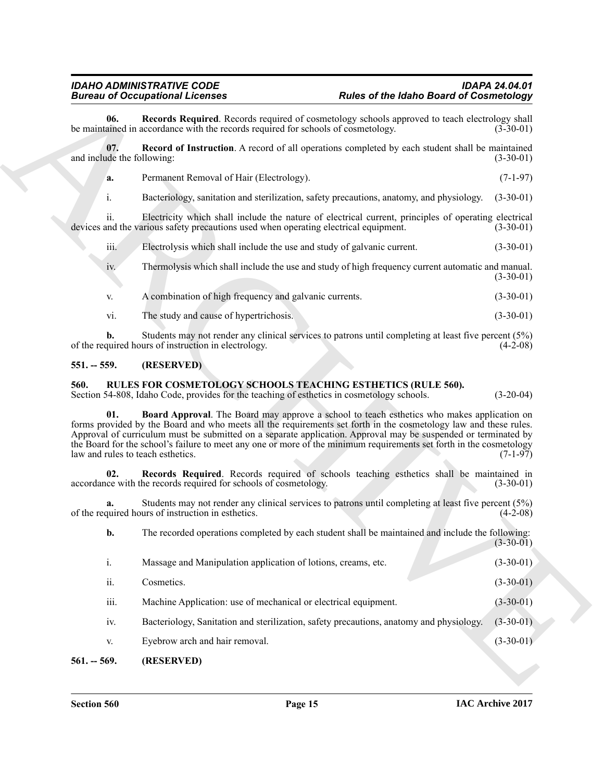# <span id="page-14-0"></span>**551. -- 559. (RESERVED)**

# <span id="page-14-7"></span><span id="page-14-6"></span><span id="page-14-5"></span><span id="page-14-2"></span><span id="page-14-1"></span>**560. RULES FOR COSMETOLOGY SCHOOLS TEACHING ESTHETICS (RULE 560).**

<span id="page-14-4"></span><span id="page-14-3"></span>

|                                   | <b>Bureau of Occupational Licenses</b><br><b>Rules of the Idaho Board of Cosmetology</b>                                                                                                                                                                                                                                                                                                                                                                                                     |                                                                                       |
|-----------------------------------|----------------------------------------------------------------------------------------------------------------------------------------------------------------------------------------------------------------------------------------------------------------------------------------------------------------------------------------------------------------------------------------------------------------------------------------------------------------------------------------------|---------------------------------------------------------------------------------------|
| 06.                               | <b>Records Required.</b> Records required of cosmetology schools approved to teach electrology shall<br>be maintained in accordance with the records required for schools of cosmetology.                                                                                                                                                                                                                                                                                                    | $(3-30-01)$                                                                           |
| 07.<br>and include the following: | <b>Record of Instruction</b> . A record of all operations completed by each student shall be maintained                                                                                                                                                                                                                                                                                                                                                                                      | $(3-30-01)$                                                                           |
| a.                                | Permanent Removal of Hair (Electrology).                                                                                                                                                                                                                                                                                                                                                                                                                                                     | $(7-1-97)$                                                                            |
| $\mathbf{i}$ .                    | Bacteriology, sanitation and sterilization, safety precautions, anatomy, and physiology.                                                                                                                                                                                                                                                                                                                                                                                                     | $(3-30-01)$                                                                           |
| ii.                               | Electricity which shall include the nature of electrical current, principles of operating electrical<br>devices and the various safety precautions used when operating electrical equipment.                                                                                                                                                                                                                                                                                                 | $(3-30-01)$                                                                           |
| iii.                              | Electrolysis which shall include the use and study of galvanic current.                                                                                                                                                                                                                                                                                                                                                                                                                      | $(3-30-01)$                                                                           |
| 1V.                               | Thermolysis which shall include the use and study of high frequency current automatic and manual.                                                                                                                                                                                                                                                                                                                                                                                            | $(3-30-01)$                                                                           |
| V.                                | A combination of high frequency and galvanic currents.                                                                                                                                                                                                                                                                                                                                                                                                                                       | $(3-30-01)$                                                                           |
| vi.                               | The study and cause of hypertrichosis.                                                                                                                                                                                                                                                                                                                                                                                                                                                       | $(3-30-01)$                                                                           |
| b.                                | Students may not render any clinical services to patrons until completing at least five percent (5%)<br>of the required hours of instruction in electrology.                                                                                                                                                                                                                                                                                                                                 | $(4-2-08)$                                                                            |
| $551. - 559.$                     | (RESERVED)                                                                                                                                                                                                                                                                                                                                                                                                                                                                                   |                                                                                       |
| 560.                              | RULES FOR COSMETOLOGY SCHOOLS TEACHING ESTHETICS (RULE 560).<br>Section 54-808, Idaho Code, provides for the teaching of esthetics in cosmetology schools.                                                                                                                                                                                                                                                                                                                                   | $(3-20-04)$                                                                           |
| 01.                               | Board Approval. The Board may approve a school to teach esthetics who makes application on<br>forms provided by the Board and who meets all the requirements set forth in the cosmetology law and these rules.<br>Approval of curriculum must be submitted on a separate application. Approval may be suspended or terminated by<br>the Board for the school's failure to meet any one or more of the minimum requirements set forth in the cosmetology<br>law and rules to teach esthetics. | $(7-1-97)$                                                                            |
| 02.                               | Records Required. Records required of schools teaching esthetics shall be maintained in<br>accordance with the records required for schools of cosmetology.                                                                                                                                                                                                                                                                                                                                  |                                                                                       |
|                                   |                                                                                                                                                                                                                                                                                                                                                                                                                                                                                              |                                                                                       |
| a.                                | Students may not render any clinical services to patrons until completing at least five percent (5%)<br>of the required hours of instruction in esthetics.                                                                                                                                                                                                                                                                                                                                   |                                                                                       |
| b.                                | The recorded operations completed by each student shall be maintained and include the following:                                                                                                                                                                                                                                                                                                                                                                                             |                                                                                       |
| $\mathbf{i}$ .                    | Massage and Manipulation application of lotions, creams, etc.                                                                                                                                                                                                                                                                                                                                                                                                                                |                                                                                       |
| ii.                               | Cosmetics.                                                                                                                                                                                                                                                                                                                                                                                                                                                                                   |                                                                                       |
| iii.                              | Machine Application: use of mechanical or electrical equipment.                                                                                                                                                                                                                                                                                                                                                                                                                              | $(3-30-01)$<br>$(4-2-08)$<br>$(3-30-01)$<br>$(3-30-01)$<br>$(3-30-01)$<br>$(3-30-01)$ |
| iv.                               | Bacteriology, Sanitation and sterilization, safety precautions, anatomy and physiology.                                                                                                                                                                                                                                                                                                                                                                                                      | $(3-30-01)$                                                                           |
| V.                                | Eyebrow arch and hair removal.                                                                                                                                                                                                                                                                                                                                                                                                                                                               | $(3-30-01)$                                                                           |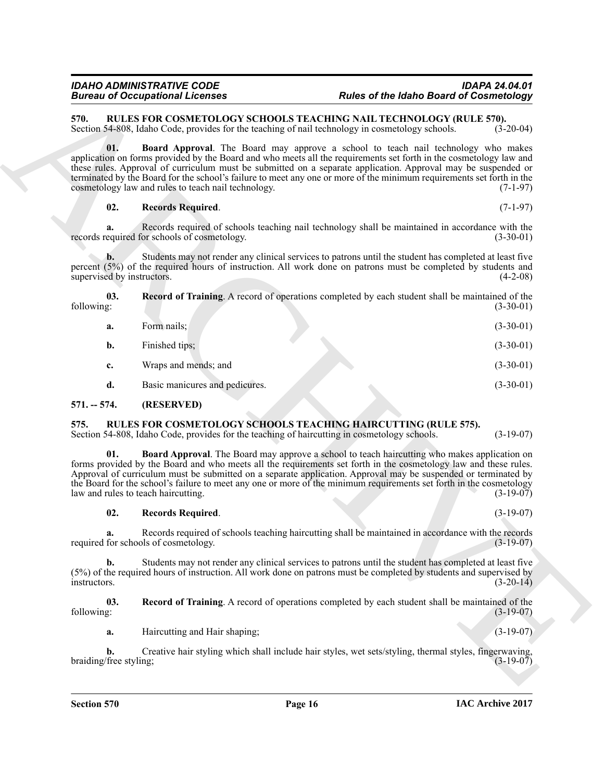<span id="page-15-10"></span><span id="page-15-8"></span><span id="page-15-7"></span><span id="page-15-0"></span>

|               |                                              | <b>Bureau of Occupational Licenses</b>                                                                                                                                                                                                                                                                                                                                                                                                                                                                   | <b>Rules of the Idaho Board of Cosmetology</b> |             |
|---------------|----------------------------------------------|----------------------------------------------------------------------------------------------------------------------------------------------------------------------------------------------------------------------------------------------------------------------------------------------------------------------------------------------------------------------------------------------------------------------------------------------------------------------------------------------------------|------------------------------------------------|-------------|
| 570.          |                                              | RULES FOR COSMETOLOGY SCHOOLS TEACHING NAIL TECHNOLOGY (RULE 570).<br>Section 54-808, Idaho Code, provides for the teaching of nail technology in cosmetology schools.                                                                                                                                                                                                                                                                                                                                   |                                                | $(3-20-04)$ |
|               | 01.                                          | Board Approval. The Board may approve a school to teach nail technology who makes<br>application on forms provided by the Board and who meets all the requirements set forth in the cosmetology law and<br>these rules. Approval of curriculum must be submitted on a separate application. Approval may be suspended or<br>terminated by the Board for the school's failure to meet any one or more of the minimum requirements set forth in the<br>cosmetology law and rules to teach nail technology. |                                                | $(7-1-97)$  |
|               | 02.                                          | <b>Records Required.</b>                                                                                                                                                                                                                                                                                                                                                                                                                                                                                 |                                                | $(7-1-97)$  |
|               | a.                                           | Records required of schools teaching nail technology shall be maintained in accordance with the<br>records required for schools of cosmetology.                                                                                                                                                                                                                                                                                                                                                          |                                                | $(3-30-01)$ |
|               | $\mathbf{b}$ .<br>supervised by instructors. | Students may not render any clinical services to patrons until the student has completed at least five<br>percent (5%) of the required hours of instruction. All work done on patrons must be completed by students and                                                                                                                                                                                                                                                                                  |                                                | $(4-2-08)$  |
| following:    | 03.                                          | <b>Record of Training.</b> A record of operations completed by each student shall be maintained of the                                                                                                                                                                                                                                                                                                                                                                                                   |                                                | $(3-30-01)$ |
|               | a.                                           | Form nails;                                                                                                                                                                                                                                                                                                                                                                                                                                                                                              |                                                | $(3-30-01)$ |
|               | b.                                           | Finished tips;                                                                                                                                                                                                                                                                                                                                                                                                                                                                                           |                                                | $(3-30-01)$ |
|               | c.                                           | Wraps and mends; and                                                                                                                                                                                                                                                                                                                                                                                                                                                                                     |                                                | $(3-30-01)$ |
|               | d.                                           | Basic manicures and pedicures.                                                                                                                                                                                                                                                                                                                                                                                                                                                                           |                                                | $(3-30-01)$ |
| $571. - 574.$ |                                              | (RESERVED)                                                                                                                                                                                                                                                                                                                                                                                                                                                                                               |                                                |             |
| 575.          |                                              | RULES FOR COSMETOLOGY SCHOOLS TEACHING HAIRCUTTING (RULE 575).<br>Section 54-808, Idaho Code, provides for the teaching of haircutting in cosmetology schools.                                                                                                                                                                                                                                                                                                                                           |                                                | $(3-19-07)$ |
|               | 01.                                          | Board Approval. The Board may approve a school to teach haircutting who makes application on<br>forms provided by the Board and who meets all the requirements set forth in the cosmetology law and these rules.<br>Approval of curriculum must be submitted on a separate application. Approval may be suspended or terminated by<br>the Board for the school's failure to meet any one or more of the minimum requirements set forth in the cosmetology<br>law and rules to teach haircutting.         |                                                | $(3-19-07)$ |
|               | 02.                                          | <b>Records Required.</b>                                                                                                                                                                                                                                                                                                                                                                                                                                                                                 |                                                | $(3-19-07)$ |
|               |                                              | Records required of schools teaching haircutting shall be maintained in accordance with the records<br>required for schools of cosmetology.                                                                                                                                                                                                                                                                                                                                                              |                                                | $(3-19-07)$ |
| instructors.  | b.                                           | Students may not render any clinical services to patrons until the student has completed at least five<br>(5%) of the required hours of instruction. All work done on patrons must be completed by students and supervised by                                                                                                                                                                                                                                                                            |                                                | $(3-20-14)$ |
| following:    | 03.                                          | <b>Record of Training</b> . A record of operations completed by each student shall be maintained of the                                                                                                                                                                                                                                                                                                                                                                                                  |                                                | $(3-19-07)$ |
|               | a.                                           | Haircutting and Hair shaping;                                                                                                                                                                                                                                                                                                                                                                                                                                                                            |                                                | $(3-19-07)$ |
|               | $\mathbf{b}$ .<br>braiding/free styling;     | Creative hair styling which shall include hair styles, wet sets/styling, thermal styles, fingerwaving,                                                                                                                                                                                                                                                                                                                                                                                                   |                                                | $(3-19-07)$ |
|               |                                              |                                                                                                                                                                                                                                                                                                                                                                                                                                                                                                          |                                                |             |

# <span id="page-15-9"></span><span id="page-15-4"></span><span id="page-15-3"></span><span id="page-15-2"></span><span id="page-15-1"></span>**575. RULES FOR COSMETOLOGY SCHOOLS TEACHING HAIRCUTTING (RULE 575).**

# <span id="page-15-6"></span><span id="page-15-5"></span>**02. Records Required**. (3-19-07)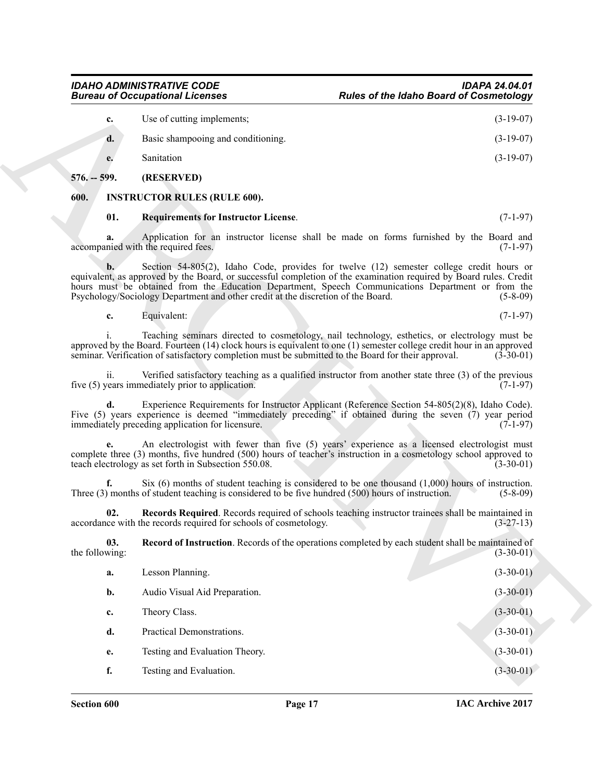| c.      | Use of cutting implements;         | $(3-19-07)$ |
|---------|------------------------------------|-------------|
| d.      | Basic shampooing and conditioning. | $(3-19-07)$ |
| e.      | Sanitation                         | $(3-19-07)$ |
| -- 599. | (RESERVED)                         |             |

# <span id="page-16-1"></span><span id="page-16-0"></span>**600. INSTRUCTOR RULES (RULE 600).**

# <span id="page-16-5"></span><span id="page-16-2"></span>**01. Requirements for Instructor License**. (7-1-97)

<span id="page-16-4"></span><span id="page-16-3"></span>

| Equivalent: |  | $(7-1-97)$ |  |
|-------------|--|------------|--|
|             |  |            |  |

|                       | <b>Bureau of Occupational Licenses</b>                                                              | <b>Rules of the Idaho Board of Cosmetology</b>                                                                                                                                                                                                                                                                                    |
|-----------------------|-----------------------------------------------------------------------------------------------------|-----------------------------------------------------------------------------------------------------------------------------------------------------------------------------------------------------------------------------------------------------------------------------------------------------------------------------------|
| c.                    | Use of cutting implements;                                                                          | $(3-19-07)$                                                                                                                                                                                                                                                                                                                       |
| d.                    | Basic shampooing and conditioning.                                                                  | $(3-19-07)$                                                                                                                                                                                                                                                                                                                       |
| e.                    | Sanitation                                                                                          | $(3-19-07)$                                                                                                                                                                                                                                                                                                                       |
| $576. - 599.$         | (RESERVED)                                                                                          |                                                                                                                                                                                                                                                                                                                                   |
| 600.                  | <b>INSTRUCTOR RULES (RULE 600).</b>                                                                 |                                                                                                                                                                                                                                                                                                                                   |
| 01.                   | <b>Requirements for Instructor License.</b>                                                         | $(7-1-97)$                                                                                                                                                                                                                                                                                                                        |
| a.                    | accompanied with the required fees.                                                                 | Application for an instructor license shall be made on forms furnished by the Board and<br>$(7-1-97)$                                                                                                                                                                                                                             |
| b.                    | Psychology/Sociology Department and other credit at the discretion of the Board.                    | Section 54-805(2), Idaho Code, provides for twelve (12) semester college credit hours or<br>equivalent, as approved by the Board, or successful completion of the examination required by Board rules. Credit<br>hours must be obtained from the Education Department, Speech Communications Department or from the<br>$(5-8-09)$ |
| c.                    | Equivalent:                                                                                         | $(7-1-97)$                                                                                                                                                                                                                                                                                                                        |
|                       | seminar. Verification of satisfactory completion must be submitted to the Board for their approval. | Teaching seminars directed to cosmetology, nail technology, esthetics, or electrology must be<br>approved by the Board. Fourteen (14) clock hours is equivalent to one (1) semester college credit hour in an approved<br>$(3-30-01)$                                                                                             |
| 11.                   | five (5) years immediately prior to application.                                                    | Verified satisfactory teaching as a qualified instructor from another state three (3) of the previous<br>$(7-1-97)$                                                                                                                                                                                                               |
| d.                    | immediately preceding application for licensure.                                                    | Experience Requirements for Instructor Applicant (Reference Section 54-805(2)(8), Idaho Code).<br>Five (5) years experience is deemed "immediately preceding" if obtained during the seven (7) year period<br>$(7-1-97)$                                                                                                          |
|                       | teach electrology as set forth in Subsection 550.08.                                                | An electrologist with fewer than five (5) years' experience as a licensed electrologist must<br>complete three (3) months, five hundred (500) hours of teacher's instruction in a cosmetology school approved to<br>$(3-30-01)$                                                                                                   |
| f.                    | Three (3) months of student teaching is considered to be five hundred (500) hours of instruction.   | Six $(6)$ months of student teaching is considered to be one thousand $(1,000)$ hours of instruction.<br>$(5-8-09)$                                                                                                                                                                                                               |
| 02.                   | accordance with the records required for schools of cosmetology.                                    | Records Required. Records required of schools teaching instructor trainees shall be maintained in<br>$(3-27-13)$                                                                                                                                                                                                                  |
| 03.<br>the following: |                                                                                                     | Record of Instruction. Records of the operations completed by each student shall be maintained of<br>$(3-30-01)$                                                                                                                                                                                                                  |
| a.                    | Lesson Planning.                                                                                    | $(3-30-01)$                                                                                                                                                                                                                                                                                                                       |
| b.                    | Audio Visual Aid Preparation.                                                                       | $(3-30-01)$                                                                                                                                                                                                                                                                                                                       |
| c.                    | Theory Class.                                                                                       | $(3-30-01)$                                                                                                                                                                                                                                                                                                                       |
| d.                    | Practical Demonstrations.                                                                           | $(3-30-01)$                                                                                                                                                                                                                                                                                                                       |
| e.                    | Testing and Evaluation Theory.                                                                      | $(3-30-01)$                                                                                                                                                                                                                                                                                                                       |
| f.                    | Testing and Evaluation.                                                                             | $(3-30-01)$                                                                                                                                                                                                                                                                                                                       |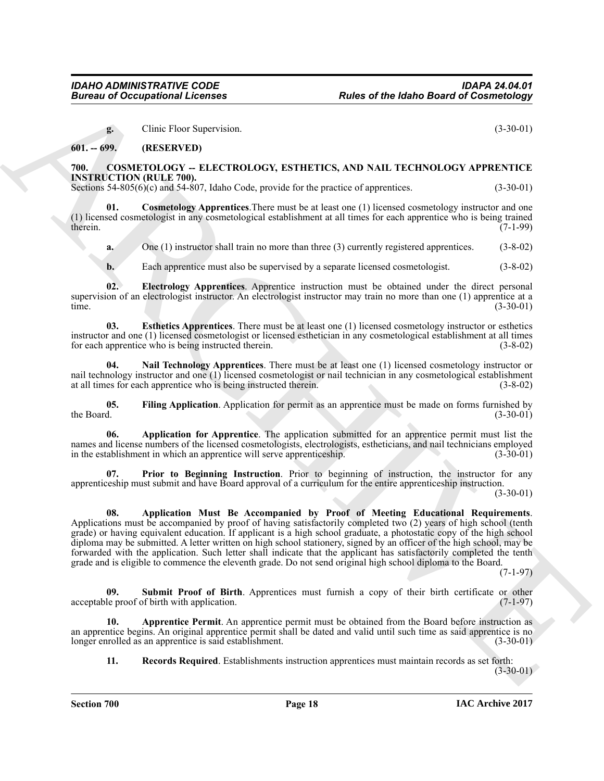<span id="page-17-2"></span>**g.** Clinic Floor Supervision. (3-30-01)

<span id="page-17-0"></span>**601. -- 699. (RESERVED)**

# <span id="page-17-1"></span>**700. COSMETOLOGY -- ELECTROLOGY, ESTHETICS, AND NAIL TECHNOLOGY APPRENTICE INSTRUCTION (RULE 700).**

Sections 54-805(6)(c) and 54-807, Idaho Code, provide for the practice of apprentices. (3-30-01)

**Cosmetology Apprentices**. There must be at least one (1) licensed cosmetology instructor and one (1) licensed cosmetologist in any cosmetological establishment at all times for each apprentice who is being trained therein.  $(7-1-99)$ therein. (7-1-99)

<span id="page-17-6"></span>**a.** One (1) instructor shall train no more than three (3) currently registered apprentices. (3-8-02)

<span id="page-17-8"></span><span id="page-17-7"></span>**b.** Each apprentice must also be supervised by a separate licensed cosmetologist. (3-8-02)

**02. Electrology Apprentices**. Apprentice instruction must be obtained under the direct personal supervision of an electrologist instructor. An electrologist instructor may train no more than one (1) apprentice at a time. time. (3-30-01)

**03. Esthetics Apprentices**. There must be at least one (1) licensed cosmetology instructor or esthetics instructor and one (1) licensed cosmetologist or licensed esthetician in any cosmetological establishment at all times for each apprentice who is being instructed therein. (3-8-02)

<span id="page-17-10"></span>**04. Nail Technology Apprentices**. There must be at least one (1) licensed cosmetology instructor or nail technology instructor and one (1) licensed cosmetologist or nail technician in any cosmetological establishment at all times for each apprentice who is being instructed therein. (3-8-02)

<span id="page-17-9"></span>**05.** Filing Application. Application for permit as an apprentice must be made on forms furnished by the Board. (3-30-01) the Board.  $(3-30-01)$ 

<span id="page-17-3"></span>**06. Application for Apprentice**. The application submitted for an apprentice permit must list the names and license numbers of the licensed cosmetologists, electrologists, estheticians, and nail technicians employed<br>in the establishment in which an apprentice will serve apprenticeship. (3-30-01) in the establishment in which an apprentice will serve apprenticeship.

<span id="page-17-11"></span><span id="page-17-4"></span>**Prior to Beginning Instruction**. Prior to beginning of instruction, the instructor for any apprenticeship must submit and have Board approval of a curriculum for the entire apprenticeship instruction.

(3-30-01)

**Eurosia of Occupations I. Features Fouriers**<br> **Eurosia of the based of Connections**<br>
(a)  $-69\%$  (EER) Issues EURV Suppose that the connection is a set of the connection of the connection of the connection of the connect **08.** Application Must Be Accompanied by Proof of Meeting Educational Requirements. Applications must be accompanied by proof of having satisfactorily completed two (2) years of high school (tenth grade) or having equivalent education. If applicant is a high school graduate, a photostatic copy of the high school diploma may be submitted. A letter written on high school stationery, signed by an officer of the high school, may be forwarded with the application. Such letter shall indicate that the applicant has satisfactorily completed the tenth grade and is eligible to commence the eleventh grade. Do not send original high school diploma to the Board.

(7-1-97)

<span id="page-17-13"></span>**09.** Submit Proof of Birth. Apprentices must furnish a copy of their birth certificate or other le proof of birth with application. (7-1-97) acceptable proof of birth with application.

**10. Apprentice Permit**. An apprentice permit must be obtained from the Board before instruction as an apprentice begins. An original apprentice permit shall be dated and valid until such time as said apprentice is no longer enrolled as an apprentice is said establishment. (3-30-01)

<span id="page-17-12"></span><span id="page-17-5"></span>**11. Records Required**. Establishments instruction apprentices must maintain records as set forth:

 $(3-30-01)$ 

**Section 700 Page 18**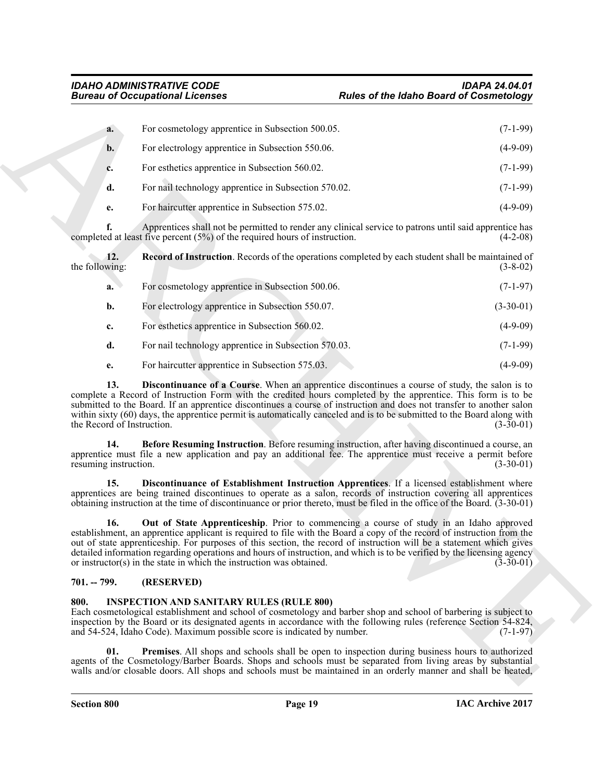<span id="page-18-6"></span>

| a.             | For cosmetology apprentice in Subsection 500.05.     | $(7-1-99)$ |
|----------------|------------------------------------------------------|------------|
| $\mathbf{b}$ . | For electrology apprentice in Subsection 550.06.     | $(4-9-09)$ |
| c.             | For esthetics apprentice in Subsection 560.02.       | $(7-1-99)$ |
| d.             | For nail technology apprentice in Subsection 570.02. | $(7-1-99)$ |
| e.             | For haircutter apprentice in Subsection 575.02.      | $(4-9-09)$ |

| <b>Bureau of Occupational Licenses</b>                            |                                                                                                                                                                                                                                                                                                                                                                                                                                                                                                                                                                                                                                                                                                | <b>Rules of the Idaho Board of Cosmetology</b> |                            |
|-------------------------------------------------------------------|------------------------------------------------------------------------------------------------------------------------------------------------------------------------------------------------------------------------------------------------------------------------------------------------------------------------------------------------------------------------------------------------------------------------------------------------------------------------------------------------------------------------------------------------------------------------------------------------------------------------------------------------------------------------------------------------|------------------------------------------------|----------------------------|
| a.                                                                | For cosmetology apprentice in Subsection 500.05.                                                                                                                                                                                                                                                                                                                                                                                                                                                                                                                                                                                                                                               |                                                | $(7-1-99)$                 |
| b.                                                                | For electrology apprentice in Subsection 550.06.                                                                                                                                                                                                                                                                                                                                                                                                                                                                                                                                                                                                                                               |                                                | $(4-9-09)$                 |
| c.                                                                | For esthetics apprentice in Subsection 560.02.                                                                                                                                                                                                                                                                                                                                                                                                                                                                                                                                                                                                                                                 |                                                | $(7-1-99)$                 |
| d.                                                                | For nail technology apprentice in Subsection 570.02.                                                                                                                                                                                                                                                                                                                                                                                                                                                                                                                                                                                                                                           |                                                | $(7-1-99)$                 |
| e.                                                                | For haircutter apprentice in Subsection 575.02.                                                                                                                                                                                                                                                                                                                                                                                                                                                                                                                                                                                                                                                |                                                | $(4-9-09)$                 |
| f.                                                                | Apprentices shall not be permitted to render any clinical service to patrons until said apprentice has<br>completed at least five percent $(5%)$ of the required hours of instruction.                                                                                                                                                                                                                                                                                                                                                                                                                                                                                                         |                                                | $(4-2-08)$                 |
| 12.<br>the following:                                             | <b>Record of Instruction</b> . Records of the operations completed by each student shall be maintained of                                                                                                                                                                                                                                                                                                                                                                                                                                                                                                                                                                                      |                                                | $(3-8-02)$                 |
| a.                                                                | For cosmetology apprentice in Subsection 500.06.                                                                                                                                                                                                                                                                                                                                                                                                                                                                                                                                                                                                                                               |                                                | $(7-1-97)$                 |
| b.                                                                | For electrology apprentice in Subsection 550.07.                                                                                                                                                                                                                                                                                                                                                                                                                                                                                                                                                                                                                                               |                                                | $(3-30-01)$                |
| c.                                                                | For esthetics apprentice in Subsection 560.02.                                                                                                                                                                                                                                                                                                                                                                                                                                                                                                                                                                                                                                                 |                                                | $(4-9-09)$                 |
| d.                                                                | For nail technology apprentice in Subsection 570.03.                                                                                                                                                                                                                                                                                                                                                                                                                                                                                                                                                                                                                                           |                                                | $(7-1-99)$                 |
| e.                                                                | For haircutter apprentice in Subsection 575.03.                                                                                                                                                                                                                                                                                                                                                                                                                                                                                                                                                                                                                                                |                                                | $(4-9-09)$                 |
| 13.<br>the Record of Instruction.<br>14.<br>resuming instruction. | <b>Discontinuance of a Course</b> . When an apprentice discontinues a course of study, the salon is to<br>complete a Record of Instruction Form with the credited hours completed by the apprentice. This form is to be<br>submitted to the Board. If an apprentice discontinues a course of instruction and does not transfer to another salon<br>within sixty (60) days, the apprentice permit is automatically canceled and is to be submitted to the Board along with<br>Before Resuming Instruction. Before resuming instruction, after having discontinued a course, an<br>apprentice must file a new application and pay an additional fee. The apprentice must receive a permit before |                                                | $(3-30-01)$<br>$(3-30-01)$ |
| 15.                                                               | Discontinuance of Establishment Instruction Apprentices. If a licensed establishment where<br>apprentices are being trained discontinues to operate as a salon, records of instruction covering all apprentices<br>obtaining instruction at the time of discontinuance or prior thereto, must be filed in the office of the Board. (3-30-01)                                                                                                                                                                                                                                                                                                                                                   |                                                |                            |
| 16.                                                               | Out of State Apprenticeship. Prior to commencing a course of study in an Idaho approved<br>establishment, an apprentice applicant is required to file with the Board a copy of the record of instruction from the<br>out of state apprenticeship. For purposes of this section, the record of instruction will be a statement which gives<br>detailed information regarding operations and hours of instruction, and which is to be verified by the licensing agency<br>or instructor(s) in the state in which the instruction was obtained.                                                                                                                                                   |                                                | $(3-30-01)$                |
| $701. - 799.$                                                     | (RESERVED)                                                                                                                                                                                                                                                                                                                                                                                                                                                                                                                                                                                                                                                                                     |                                                |                            |
| 800.                                                              | <b>INSPECTION AND SANITARY RULES (RULE 800)</b><br>Each cosmetological establishment and school of cosmetology and barber shop and school of barbering is subject to<br>inspection by the Board or its designated agents in accordance with the following rules (reference Section 54-824,<br>and 54-524, Idaho Code). Maximum possible score is indicated by number.                                                                                                                                                                                                                                                                                                                          |                                                | $(7-1-97)$                 |
| 01.                                                               | Premises. All shops and schools shall be open to inspection during business hours to authorized<br>agents of the Cosmetology/Barber Boards. Shops and schools must be separated from living areas by substantial<br>walls and/or closable doors. All shops and schools must be maintained in an orderly manner and shall be heated,                                                                                                                                                                                                                                                                                                                                                            |                                                |                            |
|                                                                   |                                                                                                                                                                                                                                                                                                                                                                                                                                                                                                                                                                                                                                                                                                |                                                |                            |

# <span id="page-18-5"></span><span id="page-18-4"></span><span id="page-18-3"></span><span id="page-18-2"></span><span id="page-18-0"></span>**701. -- 799. (RESERVED)**

# <span id="page-18-8"></span><span id="page-18-7"></span><span id="page-18-1"></span>**800. INSPECTION AND SANITARY RULES (RULE 800)**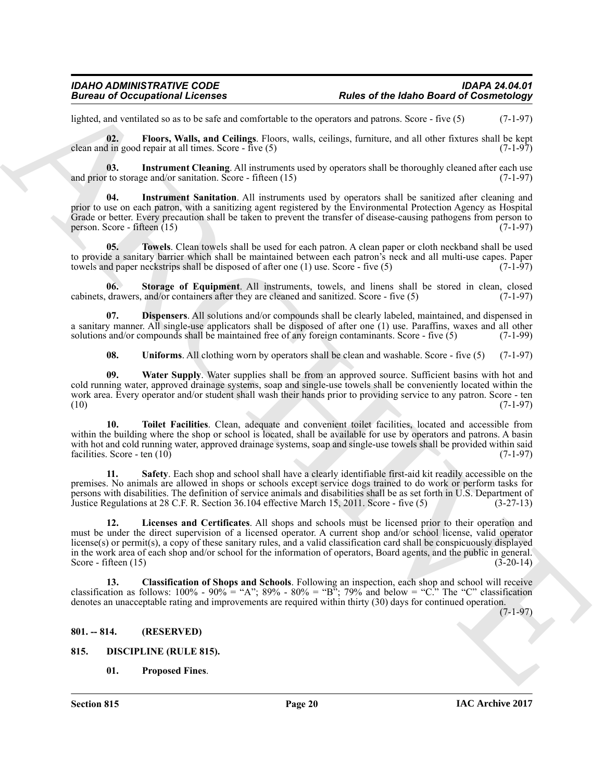# *IDAHO ADMINISTRATIVE CODE IDAPA 24.04.01* **Rules of the Idaho Board of Cosmetology**

lighted, and ventilated so as to be safe and comfortable to the operators and patrons. Score - five (5) (7-1-97)

<span id="page-19-6"></span>**02. Floors, Walls, and Ceilings**. Floors, walls, ceilings, furniture, and all other fixtures shall be kept clean and in good repair at all times. Score - five  $(5)$ 

<span id="page-19-7"></span>**03.** Instrument Cleaning. All instruments used by operators shall be thoroughly cleaned after each use to storage and/or sanitation. Score - fifteen (15) and prior to storage and/or sanitation. Score - fifteen  $(15)$ 

<span id="page-19-8"></span>**04. Instrument Sanitation**. All instruments used by operators shall be sanitized after cleaning and prior to use on each patron, with a sanitizing agent registered by the Environmental Protection Agency as Hospital Grade or better. Every precaution shall be taken to prevent the transfer of disease-causing pathogens from person to person. Score - fifteen  $(15)$  (7-1-97)

<span id="page-19-13"></span>**05. Towels**. Clean towels shall be used for each patron. A clean paper or cloth neckband shall be used to provide a sanitary barrier which shall be maintained between each patron's neck and all multi-use capes. Paper<br>towels and paper neckstrips shall be disposed of after one (1) use. Score - five (5) (7-1-97) towels and paper neckstrips shall be disposed of after one  $(1)$  use. Score - five  $(5)$ 

<span id="page-19-11"></span>**06. Storage of Equipment**. All instruments, towels, and linens shall be stored in clean, closed cabinets, drawers, and/or containers after they are cleaned and sanitized. Score - five (5) (7-1-97)

**07. Dispensers**. All solutions and/or compounds shall be clearly labeled, maintained, and dispensed in a sanitary manner. All single-use applicators shall be disposed of after one (1) use. Paraffins, waxes and all other solutions and/or compounds shall be maintained free of any foreign contaminants. Score - five (5)  $(7-1$ solutions and/or compounds shall be maintained free of any foreign contaminants. Score - five (5)

<span id="page-19-15"></span><span id="page-19-14"></span><span id="page-19-12"></span><span id="page-19-5"></span>**08. Uniforms**. All clothing worn by operators shall be clean and washable. Score - five (5) (7-1-97)

**09. Water Supply**. Water supplies shall be from an approved source. Sufficient basins with hot and cold running water, approved drainage systems, soap and single-use towels shall be conveniently located within the work area. Every operator and/or student shall wash their hands prior to providing service to any patron. Score - ten (10) (7-1-97)  $(10)$   $(7-1-97)$ 

**10. Toilet Facilities**. Clean, adequate and convenient toilet facilities, located and accessible from within the building where the shop or school is located, shall be available for use by operators and patrons. A basin with hot and cold running water, approved drainage systems, soap and single-use towels shall be provided within said facilities. Score - ten (10) (7-1-97) facilities. Score - ten  $(10)$ 

<span id="page-19-10"></span><span id="page-19-9"></span>**11. Safety**. Each shop and school shall have a clearly identifiable first-aid kit readily accessible on the premises. No animals are allowed in shops or schools except service dogs trained to do work or perform tasks for persons with disabilities. The definition of service animals and disabilities shall be as set forth in U.S. Department of Justice Regulations at 28 C.F. R. Section 36.104 effective March 15, 2011. Score - five (5) (3-27-13 Justice Regulations at 28 C.F. R. Section 36.104 effective March 15, 2011. Score - five (5)

**Example 20** Reality of the state of the basis of the basis of the basis of the basis of the state of the state of the state of the state of the state of the state of the state of the state of the state of the state of th **12. Licenses and Certificates**. All shops and schools must be licensed prior to their operation and must be under the direct supervision of a licensed operator. A current shop and/or school license, valid operator license(s) or permit(s), a copy of these sanitary rules, and a valid classification card shall be conspicuously displayed in the work area of each shop and/or school for the information of operators, Board agents, and the public in general. Score - fifteen  $(15)$ 

<span id="page-19-4"></span>**13. Classification of Shops and Schools**. Following an inspection, each shop and school will receive classification as follows:  $100\%$  -  $90\%$  = "A";  $89\%$  -  $80\%$  = "B";  $79\%$  and below = "C." The "C" classification denotes an unacceptable rating and improvements are required within thirty (30) days for continued operation.

 $(7-1-97)$ 

# <span id="page-19-0"></span>**801. -- 814. (RESERVED)**

<span id="page-19-1"></span>**815. DISCIPLINE (RULE 815).**

<span id="page-19-3"></span><span id="page-19-2"></span>**01. Proposed Fines**.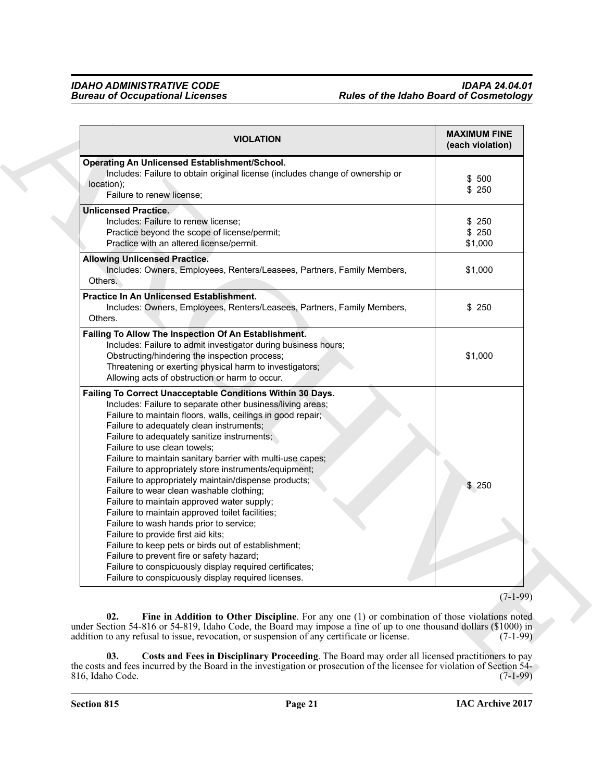<span id="page-20-1"></span><span id="page-20-0"></span>

| <b>VIOLATION</b>                                                                                                                                                                                                                                                                                                                                                                                                                                                                                                                                                                                                                                                                                                                                                                                                                                                                                                                                      | <b>MAXIMUM FINE</b><br>(each violation) |
|-------------------------------------------------------------------------------------------------------------------------------------------------------------------------------------------------------------------------------------------------------------------------------------------------------------------------------------------------------------------------------------------------------------------------------------------------------------------------------------------------------------------------------------------------------------------------------------------------------------------------------------------------------------------------------------------------------------------------------------------------------------------------------------------------------------------------------------------------------------------------------------------------------------------------------------------------------|-----------------------------------------|
| Operating An Unlicensed Establishment/School.<br>Includes: Failure to obtain original license (includes change of ownership or<br>location);<br>Failure to renew license;                                                                                                                                                                                                                                                                                                                                                                                                                                                                                                                                                                                                                                                                                                                                                                             | \$500<br>\$250                          |
| <b>Unlicensed Practice.</b><br>Includes: Failure to renew license;<br>Practice beyond the scope of license/permit;<br>Practice with an altered license/permit.                                                                                                                                                                                                                                                                                                                                                                                                                                                                                                                                                                                                                                                                                                                                                                                        | \$250<br>\$250<br>\$1,000               |
| <b>Allowing Unlicensed Practice.</b><br>Includes: Owners, Employees, Renters/Leasees, Partners, Family Members,<br>Others.                                                                                                                                                                                                                                                                                                                                                                                                                                                                                                                                                                                                                                                                                                                                                                                                                            | \$1,000                                 |
| Practice In An Unlicensed Establishment.<br>Includes: Owners, Employees, Renters/Leasees, Partners, Family Members,<br>Others.                                                                                                                                                                                                                                                                                                                                                                                                                                                                                                                                                                                                                                                                                                                                                                                                                        | \$250                                   |
| Failing To Allow The Inspection Of An Establishment.<br>Includes: Failure to admit investigator during business hours;<br>Obstructing/hindering the inspection process;<br>Threatening or exerting physical harm to investigators;<br>Allowing acts of obstruction or harm to occur.                                                                                                                                                                                                                                                                                                                                                                                                                                                                                                                                                                                                                                                                  | \$1,000                                 |
| Failing To Correct Unacceptable Conditions Within 30 Days.<br>Includes: Failure to separate other business/living areas;<br>Failure to maintain floors, walls, ceilings in good repair;<br>Failure to adequately clean instruments;<br>Failure to adequately sanitize instruments;<br>Failure to use clean towels;<br>Failure to maintain sanitary barrier with multi-use capes;<br>Failure to appropriately store instruments/equipment;<br>Failure to appropriately maintain/dispense products;<br>Failure to wear clean washable clothing;<br>Failure to maintain approved water supply;<br>Failure to maintain approved toilet facilities;<br>Failure to wash hands prior to service;<br>Failure to provide first aid kits;<br>Failure to keep pets or birds out of establishment;<br>Failure to prevent fire or safety hazard;<br>Failure to conspicuously display required certificates;<br>Failure to conspicuously display required licenses. | \$250                                   |
|                                                                                                                                                                                                                                                                                                                                                                                                                                                                                                                                                                                                                                                                                                                                                                                                                                                                                                                                                       | $(7-1-99)$                              |
| Fine in Addition to Other Discipline. For any one (1) or combination of those violations noted<br>02.<br>under Section 54-816 or 54-819, Idaho Code, the Board may impose a fine of up to one thousand dollars (\$1000) in<br>addition to any refusal to issue, revocation, or suspension of any certificate or license.                                                                                                                                                                                                                                                                                                                                                                                                                                                                                                                                                                                                                              | $(7-1-99)$                              |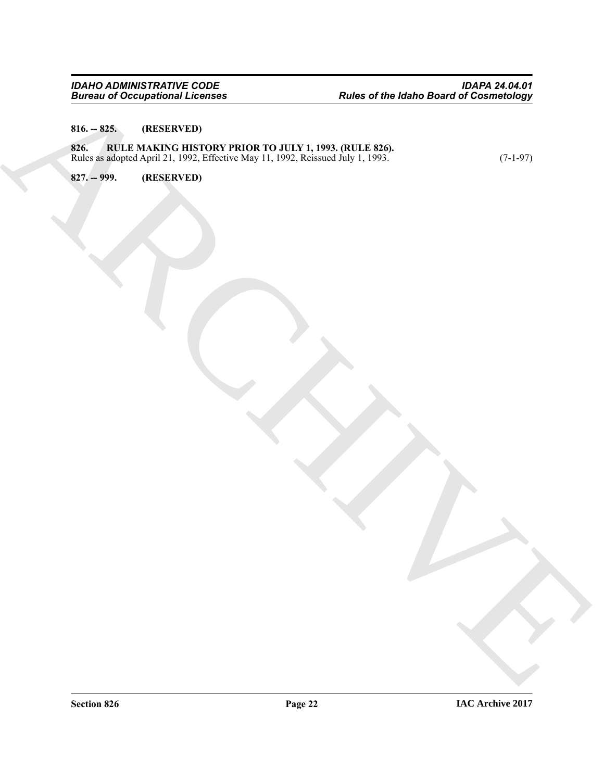# <span id="page-21-1"></span><span id="page-21-0"></span>**816. -- 825. (RESERVED)**

# ARCHIVE **826. RULE MAKING HISTORY PRIOR TO JULY 1, 1993. (RULE 826).** Rules as adopted April 21, 1992, Effective May 11, 1992, Reissued July 1, 1993. (7-1-97)

<span id="page-21-2"></span>**827. -- 999. (RESERVED)**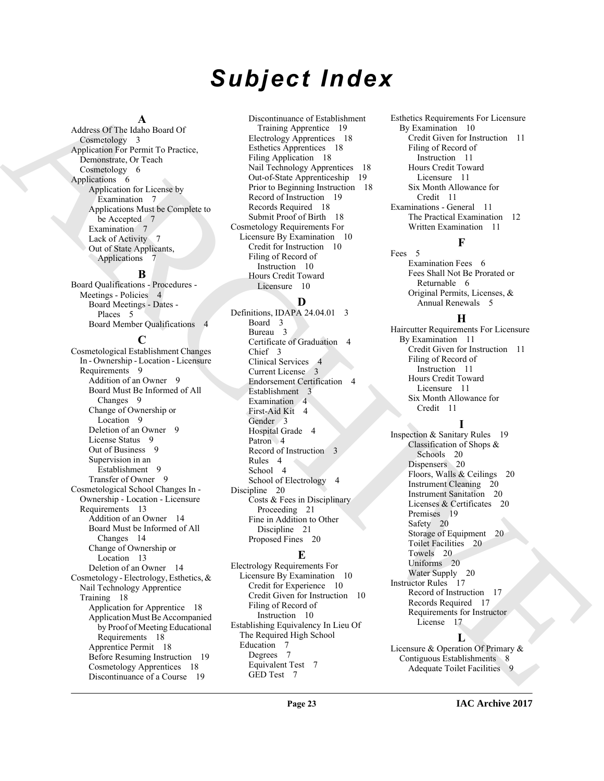# *Subject Index*

# **A**

Address Of The Idaho Board Of Cosmetology 3 Application For Permit To Practice, Demonstrate, Or Teach Cosmetology 6 Applications 6 Application for License by Examination 7 Applications Must be Complete to be Accepted 7 Examination 7 Lack of Activity 7 Out of State Applicants, Applications 7

# **B**

Board Qualifications - Procedures - Meetings - Policies 4 Board Meetings - Dates - Places 5 Board Member Qualifications 4

# **C**

[A](#page-5-6)ddress Of the Kentan March 19 (materials of the state of the state of the state of the state of the state of the state of the state of the state of the state of the state of the state of the state of the state of the sta Cosmetological Establishment Changes In - Ownership - Location - Licensure Requirements 9 Addition of an Owner 9 Board Must Be Informed of All Changes 9 Change of Ownership or Location 9 Deletion of an Owner 9 License Status 9 Out of Business 9 Supervision in an Establishment 9 Transfer of Owner 9 Cosmetological School Changes In - Ownership - Location - Licensure Requirements 13 Addition of an Owner 14 Board Must be Informed of All Changes 14 Change of Ownership or Location 13 Deletion of an Owner 14 Cosmetology - Electrology, Esthetics, & Nail Technology Apprentice Training 18 Application for Apprentice 18 Application Must Be Accompanied by Proof of Meeting Educational Requirements 18 Apprentice Permit 18 Before Resuming Instruction 19 Cosmetology Apprentices 18 Discontinuance of a Course 19

Discontinuance of Establishment Training Apprentice 19 Electrology Apprentices 18 Esthetics Apprentices 18 Filing Application 18 Nail Technology Apprentices 18 Out-of-State Apprenticeship 19 Prior to Beginning Instruction 18 Record of Instruction 19 Records Required 18 Submit Proof of Birth 18 Cosmetology Requirements For Licensure By Examination 10 Credit for Instruction 10 Filing of Record of Instruction 10 Hours Credit Toward Licensure 10

# **D**

Definitions, IDAPA 24.04.01 3 Board 3 Bureau 3 Certificate of Graduation 4 Chief 3 Clinical Services 4 Current License 3 Endorsement Certification 4 Establishment 3 Examination 4 First-Aid Kit 4 Gender 3 Hospital Grade 4 Patron 4 Record of Instruction 3 Rules 4 School 4 School of Electrology 4 Discipline 20 Costs & Fees in Disciplinary Proceeding 21 Fine in Addition to Other Discipline 21 Proposed Fines 20

# **E**

Electrology Requirements For Licensure By Examination 10 Credit for Experience 10 Credit Given for Instruction 10 Filing of Record of Instruction 10 Establishing Equivalency In Lieu Of The Required High School Education 7 Degrees 7 Equivalent Test 7 GED Test 7

Esthetics Requirements For Licensure By Examination 10 Credit Given for Instruction 11 Filing of Record of Instruction 11 Hours Credit Toward Licensure 11 Six Month Allowance for Credit 11 Examinations - General 11 The Practical Examination 12 Written Examination 11

Fees 5 Examination Fees 6 Fees Shall Not Be Prorated or Returnable 6 Original Permits, Licenses, & Annual Renewals 5

**F**

# **H**

Haircutter Requirements For Licensure By Examination 11 Credit Given for Instruction 11 Filing of Record of Instruction 11 Hours Credit Toward Licensure 11 Six Month Allowance for Credit 11

# **I**

Inspection & Sanitary Rules 19 Classification of Shops & Schools 20 Dispensers 20 Floors, Walls & Ceilings 20 Instrument Cleaning 20 Instrument Sanitation 20 Licenses & Certificates 20 Premises 19 Safety 20 Storage of Equipment 20 Toilet Facilities 20 Towels 20 Uniforms 20 Water Supply 20 Instructor Rules 17 Record of Instruction 17 Records Required 17 Requirements for Instructor License 17

# **L**

Licensure & Operation Of Primary & Contiguous Establishments 8 Adequate Toilet Facilities 9